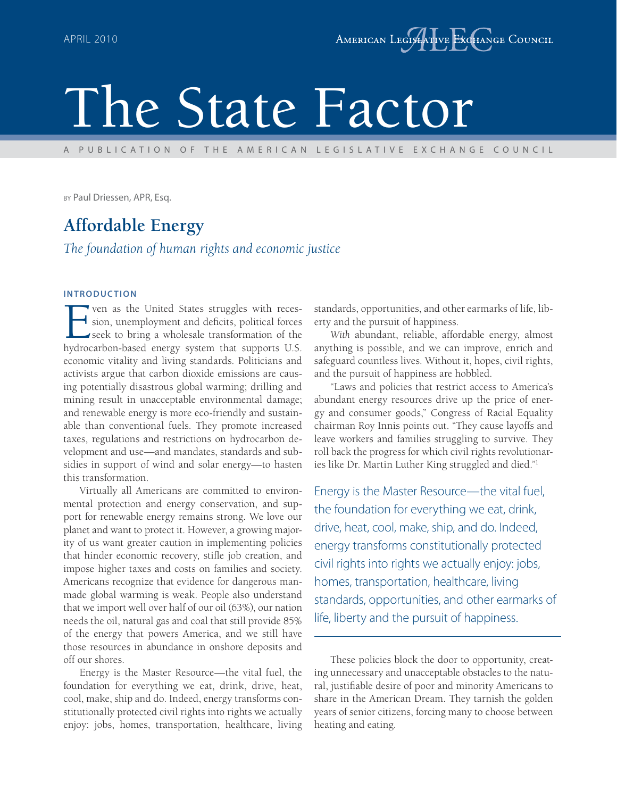# The State Factor

A PUBLICATION OF THE AMERICAN LEGISLATIVE EXCHANGE COUNCIL

BY Paul Driessen, APR, Esq.

## **Affordable Energy**

*The foundation of human rights and economic justice*

#### **INTRODUCTION**

ven as the United States struggles with reces- $\blacktriangleleft$  sion, unemployment and deficits, political forces seek to bring a wholesale transformation of the hydrocarbon-based energy system that supports U.S. economic vitality and living standards. Politicians and activists argue that carbon dioxide emissions are causing potentially disastrous global warming; drilling and mining result in unacceptable environmental damage; and renewable energy is more eco-friendly and sustainable than conventional fuels. They promote increased taxes, regulations and restrictions on hydrocarbon development and use—and mandates, standards and subsidies in support of wind and solar energy—to hasten this transformation.

Virtually all Americans are committed to environmental protection and energy conservation, and support for renewable energy remains strong. We love our planet and want to protect it. However, a growing majority of us want greater caution in implementing policies that hinder economic recovery, stifle job creation, and impose higher taxes and costs on families and society. Americans recognize that evidence for dangerous manmade global warming is weak. People also understand that we import well over half of our oil (63%), our nation needs the oil, natural gas and coal that still provide 85% of the energy that powers America, and we still have those resources in abundance in onshore deposits and off our shores.

Energy is the Master Resource—the vital fuel, the foundation for everything we eat, drink, drive, heat, cool, make, ship and do. Indeed, energy transforms constitutionally protected civil rights into rights we actually enjoy: jobs, homes, transportation, healthcare, living standards, opportunities, and other earmarks of life, liberty and the pursuit of happiness.

*With* abundant, reliable, affordable energy, almost anything is possible, and we can improve, enrich and safeguard countless lives. Without it, hopes, civil rights, and the pursuit of happiness are hobbled.

"Laws and policies that restrict access to America's abundant energy resources drive up the price of energy and consumer goods," Congress of Racial Equality chairman Roy Innis points out. "They cause layoffs and leave workers and families struggling to survive. They roll back the progress for which civil rights revolutionaries like Dr. Martin Luther King struggled and died."1

Energy is the Master Resource—the vital fuel, the foundation for everything we eat, drink, drive, heat, cool, make, ship, and do. Indeed, energy transforms constitutionally protected civil rights into rights we actually enjoy: jobs, homes, transportation, healthcare, living standards, opportunities, and other earmarks of life, liberty and the pursuit of happiness.

These policies block the door to opportunity, creating unnecessary and unacceptable obstacles to the natural, justifiable desire of poor and minority Americans to share in the American Dream. They tarnish the golden years of senior citizens, forcing many to choose between heating and eating.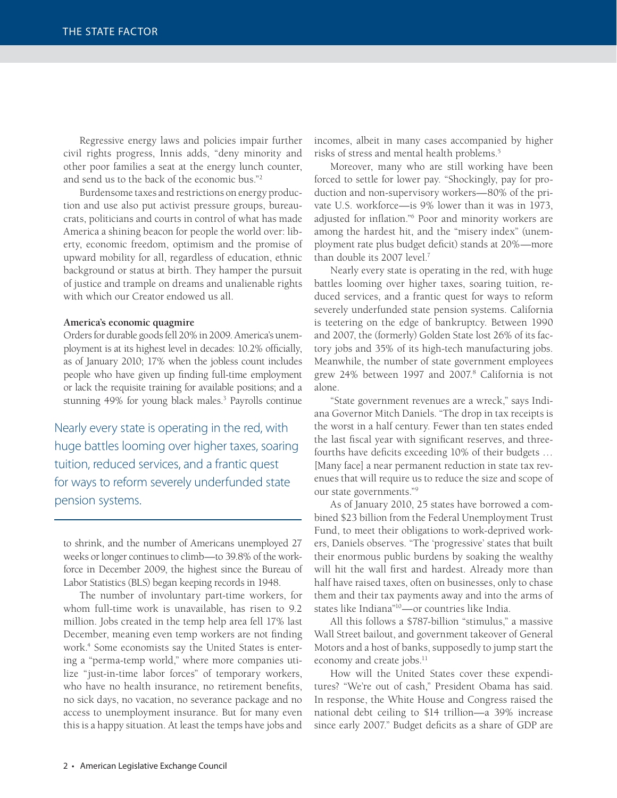Regressive energy laws and policies impair further civil rights progress, Innis adds, "deny minority and other poor families a seat at the energy lunch counter, and send us to the back of the economic bus."2

Burdensome taxes and restrictions on energy production and use also put activist pressure groups, bureaucrats, politicians and courts in control of what has made America a shining beacon for people the world over: liberty, economic freedom, optimism and the promise of upward mobility for all, regardless of education, ethnic background or status at birth. They hamper the pursuit of justice and trample on dreams and unalienable rights with which our Creator endowed us all.

#### **America's economic quagmire**

Orders for durable goods fell 20% in 2009. America's unemployment is at its highest level in decades: 10.2% officially, as of January 2010; 17% when the jobless count includes people who have given up finding full-time employment or lack the requisite training for available positions; and a stunning 49% for young black males.<sup>3</sup> Payrolls continue

Nearly every state is operating in the red, with huge battles looming over higher taxes, soaring tuition, reduced services, and a frantic quest for ways to reform severely underfunded state pension systems.

to shrink, and the number of Americans unemployed 27 weeks or longer continues to climb—to 39.8% of the workforce in December 2009, the highest since the Bureau of Labor Statistics (BLS) began keeping records in 1948.

The number of involuntary part-time workers, for whom full-time work is unavailable, has risen to 9.2 million. Jobs created in the temp help area fell 17% last December, meaning even temp workers are not finding work.4 Some economists say the United States is entering a "perma-temp world," where more companies utilize "just-in-time labor forces" of temporary workers, who have no health insurance, no retirement benefits, no sick days, no vacation, no severance package and no access to unemployment insurance. But for many even this is a happy situation. At least the temps have jobs and

incomes, albeit in many cases accompanied by higher risks of stress and mental health problems.<sup>5</sup>

Moreover, many who are still working have been forced to settle for lower pay. "Shockingly, pay for production and non-supervisory workers—80% of the private U.S. workforce—is 9% lower than it was in 1973, adjusted for inflation."<sup>6</sup> Poor and minority workers are among the hardest hit, and the "misery index" (unemployment rate plus budget deficit) stands at 20%-more than double its 2007 level.7

Nearly every state is operating in the red, with huge battles looming over higher taxes, soaring tuition, reduced services, and a frantic quest for ways to reform severely underfunded state pension systems. California is teetering on the edge of bankruptcy. Between 1990 and 2007, the (formerly) Golden State lost 26% of its factory jobs and 35% of its high-tech manufacturing jobs. Meanwhile, the number of state government employees grew 24% between 1997 and 2007.8 California is not alone.

"State government revenues are a wreck," says Indiana Governor Mitch Daniels. "The drop in tax receipts is the worst in a half century. Fewer than ten states ended the last fiscal year with significant reserves, and threefourths have deficits exceeding 10% of their budgets ... [Many face] a near permanent reduction in state tax revenues that will require us to reduce the size and scope of our state governments."9

As of January 2010, 25 states have borrowed a combined \$23 billion from the Federal Unemployment Trust Fund, to meet their obligations to work-deprived workers, Daniels observes. "The 'progressive' states that built their enormous public burdens by soaking the wealthy will hit the wall first and hardest. Already more than half have raised taxes, often on businesses, only to chase them and their tax payments away and into the arms of states like Indiana"10—or countries like India.

All this follows a \$787-billion "stimulus," a massive Wall Street bailout, and government takeover of General Motors and a host of banks, supposedly to jump start the economy and create jobs.<sup>11</sup>

How will the United States cover these expenditures? "We're out of cash," President Obama has said. In response, the White House and Congress raised the national debt ceiling to \$14 trillion—a 39% increase since early 2007." Budget deficits as a share of GDP are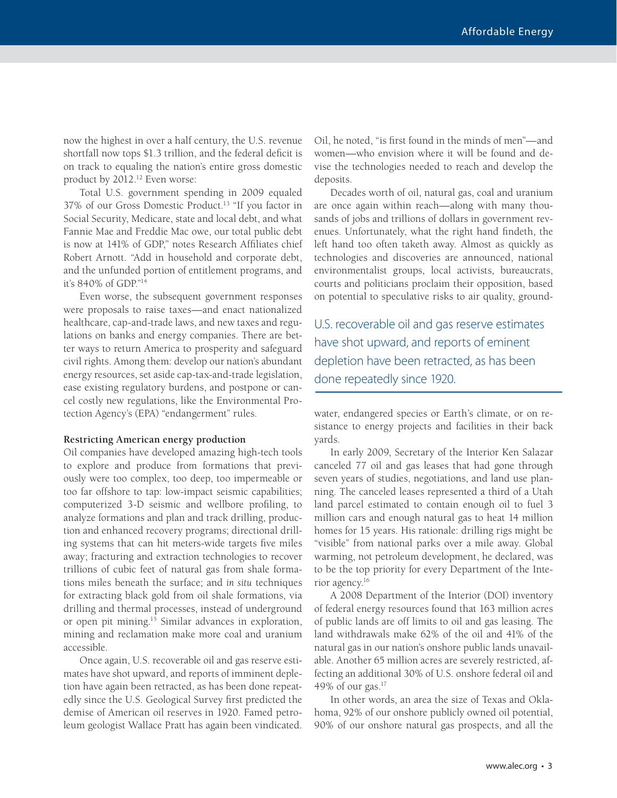now the highest in over a half century, the U.S. revenue shortfall now tops \$1.3 trillion, and the federal deficit is on track to equaling the nation's entire gross domestic product by 2012.<sup>12</sup> Even worse:

Total U.S. government spending in 2009 equaled 37% of our Gross Domestic Product.13 "If you factor in Social Security, Medicare, state and local debt, and what Fannie Mae and Freddie Mac owe, our total public debt is now at 141% of GDP," notes Research Affiliates chief Robert Arnott. "Add in household and corporate debt, and the unfunded portion of entitlement programs, and it's 840% of GDP."14

Even worse, the subsequent government responses were proposals to raise taxes—and enact nationalized healthcare, cap-and-trade laws, and new taxes and regulations on banks and energy companies. There are better ways to return America to prosperity and safeguard civil rights. Among them: develop our nation's abundant energy resources, set aside cap-tax-and-trade legislation, ease existing regulatory burdens, and postpone or cancel costly new regulations, like the Environmental Protection Agency's (EPA) "endangerment" rules.

#### **Restricting American energy production**

Oil companies have developed amazing high-tech tools to explore and produce from formations that previously were too complex, too deep, too impermeable or too far offshore to tap: low-impact seismic capabilities; computerized 3-D seismic and wellbore profiling, to analyze formations and plan and track drilling, production and enhanced recovery programs; directional drilling systems that can hit meters-wide targets five miles away; fracturing and extraction technologies to recover trillions of cubic feet of natural gas from shale formations miles beneath the surface; and *in situ* techniques for extracting black gold from oil shale formations, via drilling and thermal processes, instead of underground or open pit mining.15 Similar advances in exploration, mining and reclamation make more coal and uranium accessible.

Once again, U.S. recoverable oil and gas reserve estimates have shot upward, and reports of imminent depletion have again been retracted, as has been done repeatedly since the U.S. Geological Survey first predicted the demise of American oil reserves in 1920. Famed petroleum geologist Wallace Pratt has again been vindicated. Oil, he noted, "is first found in the minds of men"—and women—who envision where it will be found and devise the technologies needed to reach and develop the deposits.

Decades worth of oil, natural gas, coal and uranium are once again within reach—along with many thousands of jobs and trillions of dollars in government revenues. Unfortunately, what the right hand findeth, the left hand too often taketh away. Almost as quickly as technologies and discoveries are announced, national environmentalist groups, local activists, bureaucrats, courts and politicians proclaim their opposition, based on potential to speculative risks to air quality, ground-

U.S. recoverable oil and gas reserve estimates have shot upward, and reports of eminent depletion have been retracted, as has been done repeatedly since 1920.

water, endangered species or Earth's climate, or on resistance to energy projects and facilities in their back yards.

In early 2009, Secretary of the Interior Ken Salazar canceled 77 oil and gas leases that had gone through seven years of studies, negotiations, and land use planning. The canceled leases represented a third of a Utah land parcel estimated to contain enough oil to fuel 3 million cars and enough natural gas to heat 14 million homes for 15 years. His rationale: drilling rigs might be "visible" from national parks over a mile away. Global warming, not petroleum development, he declared, was to be the top priority for every Department of the Interior agency.16

A 2008 Department of the Interior (DOI) inventory of federal energy resources found that 163 million acres of public lands are off limits to oil and gas leasing. The land withdrawals make 62% of the oil and 41% of the natural gas in our nation's onshore public lands unavailable. Another 65 million acres are severely restricted, affecting an additional 30% of U.S. onshore federal oil and 49% of our gas. $17$ 

In other words, an area the size of Texas and Oklahoma, 92% of our onshore publicly owned oil potential, 90% of our onshore natural gas prospects, and all the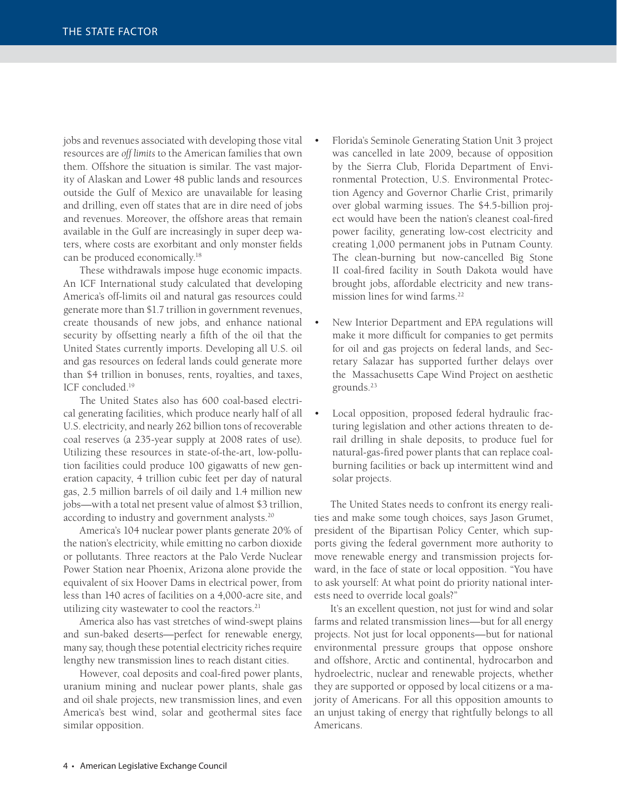jobs and revenues associated with developing those vital resources are *off limits* to the American families that own them. Offshore the situation is similar. The vast majority of Alaskan and Lower 48 public lands and resources outside the Gulf of Mexico are unavailable for leasing and drilling, even off states that are in dire need of jobs and revenues. Moreover, the offshore areas that remain available in the Gulf are increasingly in super deep waters, where costs are exorbitant and only monster fields can be produced economically.<sup>18</sup>

These withdrawals impose huge economic impacts. An ICF International study calculated that developing America's off-limits oil and natural gas resources could generate more than \$1.7 trillion in government revenues, create thousands of new jobs, and enhance national security by offsetting nearly a fifth of the oil that the United States currently imports. Developing all U.S. oil and gas resources on federal lands could generate more than \$4 trillion in bonuses, rents, royalties, and taxes, ICF concluded.19

The United States also has 600 coal-based electrical generating facilities, which produce nearly half of all U.S. electricity, and nearly 262 billion tons of recoverable coal reserves (a 235-year supply at 2008 rates of use). Utilizing these resources in state-of-the-art, low-pollution facilities could produce 100 gigawatts of new generation capacity, 4 trillion cubic feet per day of natural gas, 2.5 million barrels of oil daily and 1.4 million new jobs—with a total net present value of almost \$3 trillion, according to industry and government analysts.<sup>20</sup>

America's 104 nuclear power plants generate 20% of the nation's electricity, while emitting no carbon dioxide or pollutants. Three reactors at the Palo Verde Nuclear Power Station near Phoenix, Arizona alone provide the equivalent of six Hoover Dams in electrical power, from less than 140 acres of facilities on a 4,000-acre site, and utilizing city wastewater to cool the reactors.<sup>21</sup>

America also has vast stretches of wind-swept plains and sun-baked deserts—perfect for renewable energy, many say, though these potential electricity riches require lengthy new transmission lines to reach distant cities.

However, coal deposits and coal-fired power plants, uranium mining and nuclear power plants, shale gas and oil shale projects, new transmission lines, and even America's best wind, solar and geothermal sites face similar opposition.

- Florida's Seminole Generating Station Unit 3 project was cancelled in late 2009, because of opposition by the Sierra Club, Florida Department of Environmental Protection, U.S. Environmental Protection Agency and Governor Charlie Crist, primarily over global warming issues. The \$4.5-billion project would have been the nation's cleanest coal-fired power facility, generating low-cost electricity and creating 1,000 permanent jobs in Putnam County. The clean-burning but now-cancelled Big Stone II coal-fired facility in South Dakota would have brought jobs, affordable electricity and new transmission lines for wind farms.22
- New Interior Department and EPA regulations will make it more difficult for companies to get permits for oil and gas projects on federal lands, and Secretary Salazar has supported further delays over the Massachusetts Cape Wind Project on aesthetic grounds.23
- Local opposition, proposed federal hydraulic fracturing legislation and other actions threaten to derail drilling in shale deposits, to produce fuel for natural-gas-fi red power plants that can replace coalburning facilities or back up intermittent wind and solar projects.

The United States needs to confront its energy realities and make some tough choices, says Jason Grumet, president of the Bipartisan Policy Center, which supports giving the federal government more authority to move renewable energy and transmission projects forward, in the face of state or local opposition. "You have to ask yourself: At what point do priority national interests need to override local goals?"

It's an excellent question, not just for wind and solar farms and related transmission lines—but for all energy projects. Not just for local opponents—but for national environmental pressure groups that oppose onshore and offshore, Arctic and continental, hydrocarbon and hydroelectric, nuclear and renewable projects, whether they are supported or opposed by local citizens or a majority of Americans. For all this opposition amounts to an unjust taking of energy that rightfully belongs to all Americans.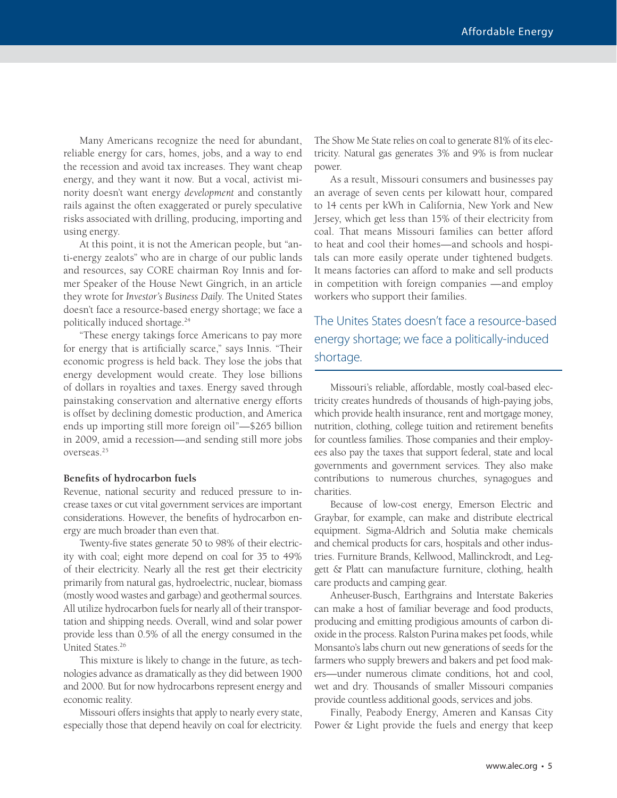Many Americans recognize the need for abundant, reliable energy for cars, homes, jobs, and a way to end the recession and avoid tax increases. They want cheap energy, and they want it now. But a vocal, activist minority doesn't want energy *development* and constantly rails against the often exaggerated or purely speculative risks associated with drilling, producing, importing and using energy.

At this point, it is not the American people, but "anti-energy zealots" who are in charge of our public lands and resources, say CORE chairman Roy Innis and former Speaker of the House Newt Gingrich, in an article they wrote for *Investor's Business Daily*. The United States doesn't face a resource-based energy shortage; we face a politically induced shortage.24

"These energy takings force Americans to pay more for energy that is artificially scarce," says Innis. "Their economic progress is held back. They lose the jobs that energy development would create. They lose billions of dollars in royalties and taxes. Energy saved through painstaking conservation and alternative energy efforts is offset by declining domestic production, and America ends up importing still more foreign oil"—\$265 billion in 2009, amid a recession—and sending still more jobs overseas.25

#### **Benefits of hydrocarbon fuels**

Revenue, national security and reduced pressure to increase taxes or cut vital government services are important considerations. However, the benefits of hydrocarbon energy are much broader than even that.

Twenty-five states generate 50 to 98% of their electricity with coal; eight more depend on coal for 35 to 49% of their electricity. Nearly all the rest get their electricity primarily from natural gas, hydroelectric, nuclear, biomass (mostly wood wastes and garbage) and geothermal sources. All utilize hydrocarbon fuels for nearly all of their transportation and shipping needs. Overall, wind and solar power provide less than 0.5% of all the energy consumed in the United States.26

This mixture is likely to change in the future, as technologies advance as dramatically as they did between 1900 and 2000. But for now hydrocarbons represent energy and economic reality.

Missouri offers insights that apply to nearly every state, especially those that depend heavily on coal for electricity.

The Show Me State relies on coal to generate 81% of its electricity. Natural gas generates 3% and 9% is from nuclear power.

As a result, Missouri consumers and businesses pay an average of seven cents per kilowatt hour, compared to 14 cents per kWh in California, New York and New Jersey, which get less than 15% of their electricity from coal. That means Missouri families can better afford to heat and cool their homes—and schools and hospitals can more easily operate under tightened budgets. It means factories can afford to make and sell products in competition with foreign companies —and employ workers who support their families.

The Unites States doesn't face a resource-based energy shortage; we face a politically-induced shortage.

Missouri's reliable, affordable, mostly coal-based electricity creates hundreds of thousands of high-paying jobs, which provide health insurance, rent and mortgage money, nutrition, clothing, college tuition and retirement benefits for countless families. Those companies and their employees also pay the taxes that support federal, state and local governments and government services. They also make contributions to numerous churches, synagogues and charities.

Because of low-cost energy, Emerson Electric and Graybar, for example, can make and distribute electrical equipment. Sigma-Aldrich and Solutia make chemicals and chemical products for cars, hospitals and other industries. Furniture Brands, Kellwood, Mallinckrodt, and Leggett & Platt can manufacture furniture, clothing, health care products and camping gear.

Anheuser-Busch, Earthgrains and Interstate Bakeries can make a host of familiar beverage and food products, producing and emitting prodigious amounts of carbon dioxide in the process. Ralston Purina makes pet foods, while Monsanto's labs churn out new generations of seeds for the farmers who supply brewers and bakers and pet food makers—under numerous climate conditions, hot and cool, wet and dry. Thousands of smaller Missouri companies provide countless additional goods, services and jobs.

Finally, Peabody Energy, Ameren and Kansas City Power & Light provide the fuels and energy that keep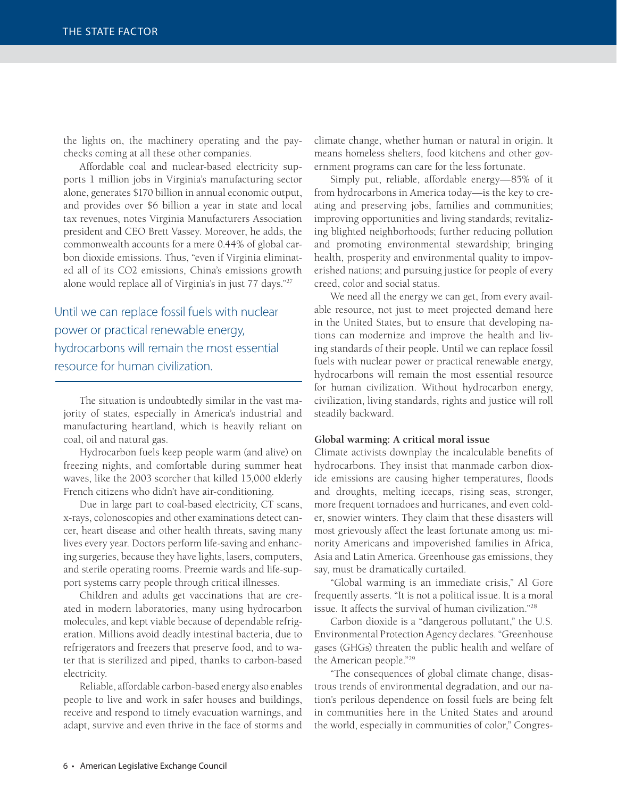the lights on, the machinery operating and the paychecks coming at all these other companies.

Affordable coal and nuclear-based electricity supports 1 million jobs in Virginia's manufacturing sector alone, generates \$170 billion in annual economic output, and provides over \$6 billion a year in state and local tax revenues, notes Virginia Manufacturers Association president and CEO Brett Vassey. Moreover, he adds, the commonwealth accounts for a mere 0.44% of global carbon dioxide emissions. Thus, "even if Virginia eliminated all of its CO2 emissions, China's emissions growth alone would replace all of Virginia's in just 77 days."27

Until we can replace fossil fuels with nuclear power or practical renewable energy, hydrocarbons will remain the most essential resource for human civilization.

The situation is undoubtedly similar in the vast majority of states, especially in America's industrial and manufacturing heartland, which is heavily reliant on coal, oil and natural gas.

Hydrocarbon fuels keep people warm (and alive) on freezing nights, and comfortable during summer heat waves, like the 2003 scorcher that killed 15,000 elderly French citizens who didn't have air-conditioning.

Due in large part to coal-based electricity, CT scans, x-rays, colonoscopies and other examinations detect cancer, heart disease and other health threats, saving many lives every year. Doctors perform life-saving and enhancing surgeries, because they have lights, lasers, computers, and sterile operating rooms. Preemie wards and life-support systems carry people through critical illnesses.

Children and adults get vaccinations that are created in modern laboratories, many using hydrocarbon molecules, and kept viable because of dependable refrigeration. Millions avoid deadly intestinal bacteria, due to refrigerators and freezers that preserve food, and to water that is sterilized and piped, thanks to carbon-based electricity.

Reliable, affordable carbon-based energy also enables people to live and work in safer houses and buildings, receive and respond to timely evacuation warnings, and adapt, survive and even thrive in the face of storms and

climate change, whether human or natural in origin. It means homeless shelters, food kitchens and other government programs can care for the less fortunate.

Simply put, reliable, affordable energy—85% of it from hydrocarbons in America today—is the key to creating and preserving jobs, families and communities; improving opportunities and living standards; revitalizing blighted neighborhoods; further reducing pollution and promoting environmental stewardship; bringing health, prosperity and environmental quality to impoverished nations; and pursuing justice for people of every creed, color and social status.

We need all the energy we can get, from every available resource, not just to meet projected demand here in the United States, but to ensure that developing nations can modernize and improve the health and living standards of their people. Until we can replace fossil fuels with nuclear power or practical renewable energy, hydrocarbons will remain the most essential resource for human civilization. Without hydrocarbon energy, civilization, living standards, rights and justice will roll steadily backward.

#### **Global warming: A critical moral issue**

Climate activists downplay the incalculable benefits of hydrocarbons. They insist that manmade carbon dioxide emissions are causing higher temperatures, floods and droughts, melting icecaps, rising seas, stronger, more frequent tornadoes and hurricanes, and even colder, snowier winters. They claim that these disasters will most grievously affect the least fortunate among us: minority Americans and impoverished families in Africa, Asia and Latin America. Greenhouse gas emissions, they say, must be dramatically curtailed.

"Global warming is an immediate crisis," Al Gore frequently asserts. "It is not a political issue. It is a moral issue. It affects the survival of human civilization."28

Carbon dioxide is a "dangerous pollutant," the U.S. Environmental Protection Agency declares. "Greenhouse gases (GHGs) threaten the public health and welfare of the American people."29

"The consequences of global climate change, disastrous trends of environmental degradation, and our nation's perilous dependence on fossil fuels are being felt in communities here in the United States and around the world, especially in communities of color," Congres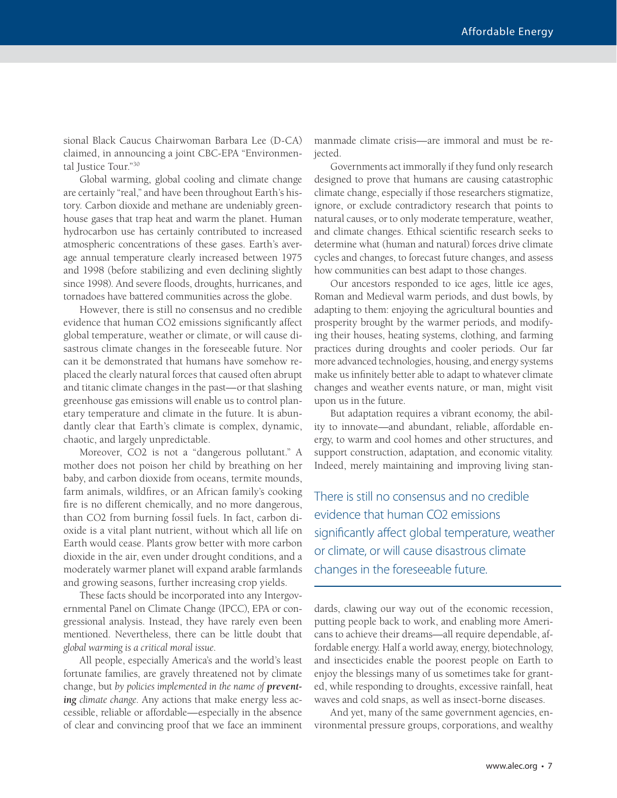sional Black Caucus Chairwoman Barbara Lee (D-CA) claimed, in announcing a joint CBC-EPA "Environmental Justice Tour."30

Global warming, global cooling and climate change are certainly "real," and have been throughout Earth's history. Carbon dioxide and methane are undeniably greenhouse gases that trap heat and warm the planet. Human hydrocarbon use has certainly contributed to increased atmospheric concentrations of these gases. Earth's average annual temperature clearly increased between 1975 and 1998 (before stabilizing and even declining slightly since 1998). And severe floods, droughts, hurricanes, and tornadoes have battered communities across the globe.

However, there is still no consensus and no credible evidence that human CO2 emissions significantly affect global temperature, weather or climate, or will cause disastrous climate changes in the foreseeable future. Nor can it be demonstrated that humans have somehow replaced the clearly natural forces that caused often abrupt and titanic climate changes in the past—or that slashing greenhouse gas emissions will enable us to control planetary temperature and climate in the future. It is abundantly clear that Earth's climate is complex, dynamic, chaotic, and largely unpredictable.

Moreover, CO2 is not a "dangerous pollutant." A mother does not poison her child by breathing on her baby, and carbon dioxide from oceans, termite mounds, farm animals, wildfires, or an African family's cooking fire is no different chemically, and no more dangerous, than CO2 from burning fossil fuels. In fact, carbon dioxide is a vital plant nutrient, without which all life on Earth would cease. Plants grow better with more carbon dioxide in the air, even under drought conditions, and a moderately warmer planet will expand arable farmlands and growing seasons, further increasing crop yields.

These facts should be incorporated into any Intergovernmental Panel on Climate Change (IPCC), EPA or congressional analysis. Instead, they have rarely even been mentioned. Nevertheless, there can be little doubt that *global warming is a critical moral issue*.

All people, especially America's and the world's least fortunate families, are gravely threatened not by climate change, but *by policies implemented in the name of preventing climate change*. Any actions that make energy less accessible, reliable or affordable—especially in the absence of clear and convincing proof that we face an imminent

manmade climate crisis—are immoral and must be rejected.

Governments act immorally if they fund only research designed to prove that humans are causing catastrophic climate change, especially if those researchers stigmatize, ignore, or exclude contradictory research that points to natural causes, or to only moderate temperature, weather, and climate changes. Ethical scientific research seeks to determine what (human and natural) forces drive climate cycles and changes, to forecast future changes, and assess how communities can best adapt to those changes.

Our ancestors responded to ice ages, little ice ages, Roman and Medieval warm periods, and dust bowls, by adapting to them: enjoying the agricultural bounties and prosperity brought by the warmer periods, and modifying their houses, heating systems, clothing, and farming practices during droughts and cooler periods. Our far more advanced technologies, housing, and energy systems make us infinitely better able to adapt to whatever climate changes and weather events nature, or man, might visit upon us in the future.

But adaptation requires a vibrant economy, the ability to innovate—and abundant, reliable, affordable energy, to warm and cool homes and other structures, and support construction, adaptation, and economic vitality. Indeed, merely maintaining and improving living stan-

There is still no consensus and no credible evidence that human CO2 emissions significantly affect global temperature, weather or climate, or will cause disastrous climate changes in the foreseeable future.

dards, clawing our way out of the economic recession, putting people back to work, and enabling more Americans to achieve their dreams—all require dependable, affordable energy. Half a world away, energy, biotechnology, and insecticides enable the poorest people on Earth to enjoy the blessings many of us sometimes take for granted, while responding to droughts, excessive rainfall, heat waves and cold snaps, as well as insect-borne diseases.

And yet, many of the same government agencies, environmental pressure groups, corporations, and wealthy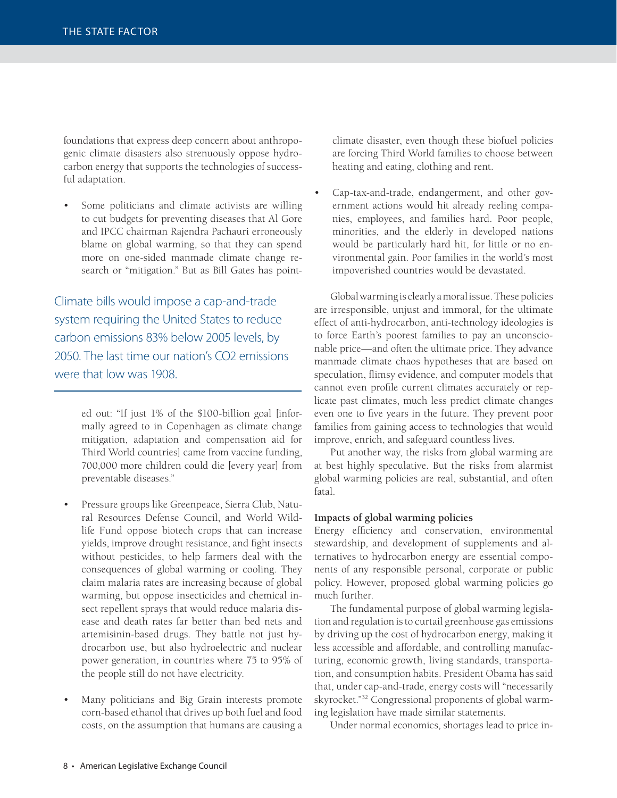foundations that express deep concern about anthropogenic climate disasters also strenuously oppose hydrocarbon energy that supports the technologies of successful adaptation.

Some politicians and climate activists are willing to cut budgets for preventing diseases that Al Gore and IPCC chairman Rajendra Pachauri erroneously blame on global warming, so that they can spend more on one-sided manmade climate change research or "mitigation." But as Bill Gates has point-

Climate bills would impose a cap-and-trade system requiring the United States to reduce carbon emissions 83% below 2005 levels, by 2050. The last time our nation's CO2 emissions were that low was 1908.

> ed out: "If just 1% of the \$100-billion goal [informally agreed to in Copenhagen as climate change mitigation, adaptation and compensation aid for Third World countries] came from vaccine funding, 700,000 more children could die [every year] from preventable diseases."

- Pressure groups like Greenpeace, Sierra Club, Natural Resources Defense Council, and World Wildlife Fund oppose biotech crops that can increase yields, improve drought resistance, and fight insects without pesticides, to help farmers deal with the consequences of global warming or cooling. They claim malaria rates are increasing because of global warming, but oppose insecticides and chemical insect repellent sprays that would reduce malaria disease and death rates far better than bed nets and artemisinin-based drugs. They battle not just hydrocarbon use, but also hydroelectric and nuclear power generation, in countries where 75 to 95% of the people still do not have electricity.
- Many politicians and Big Grain interests promote corn-based ethanol that drives up both fuel and food costs, on the assumption that humans are causing a

climate disaster, even though these biofuel policies are forcing Third World families to choose between heating and eating, clothing and rent.

• Cap-tax-and-trade, endangerment, and other government actions would hit already reeling companies, employees, and families hard. Poor people, minorities, and the elderly in developed nations would be particularly hard hit, for little or no environmental gain. Poor families in the world's most impoverished countries would be devastated.

Global warming is clearly a moral issue. These policies are irresponsible, unjust and immoral, for the ultimate effect of anti-hydrocarbon, anti-technology ideologies is to force Earth's poorest families to pay an unconscionable price—and often the ultimate price. They advance manmade climate chaos hypotheses that are based on speculation, flimsy evidence, and computer models that cannot even profile current climates accurately or replicate past climates, much less predict climate changes even one to five years in the future. They prevent poor families from gaining access to technologies that would improve, enrich, and safeguard countless lives.

Put another way, the risks from global warming are at best highly speculative. But the risks from alarmist global warming policies are real, substantial, and often fatal.

#### **Impacts of global warming policies**

Energy efficiency and conservation, environmental stewardship, and development of supplements and alternatives to hydrocarbon energy are essential components of any responsible personal, corporate or public policy. However, proposed global warming policies go much further.

The fundamental purpose of global warming legislation and regulation is to curtail greenhouse gas emissions by driving up the cost of hydrocarbon energy, making it less accessible and affordable, and controlling manufacturing, economic growth, living standards, transportation, and consumption habits. President Obama has said that, under cap-and-trade, energy costs will "necessarily skyrocket."32 Congressional proponents of global warming legislation have made similar statements.

Under normal economics, shortages lead to price in-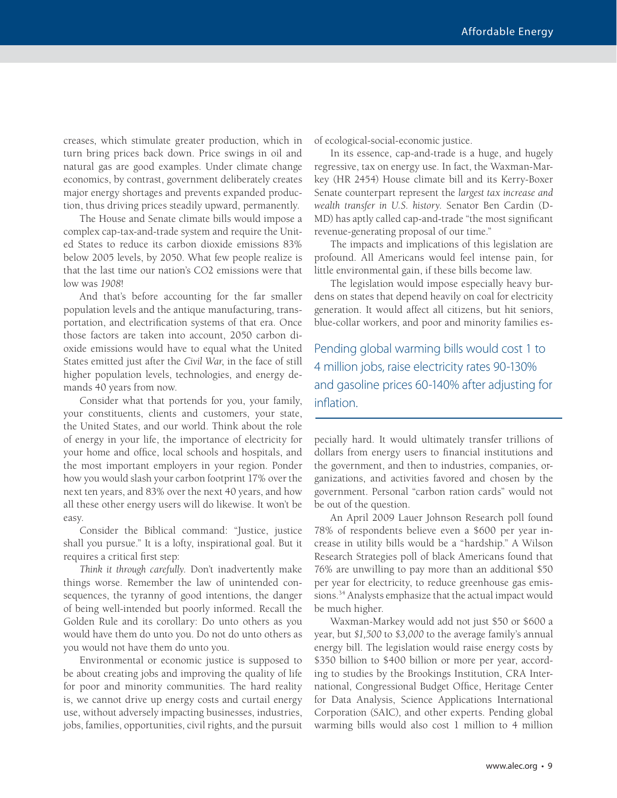creases, which stimulate greater production, which in turn bring prices back down. Price swings in oil and natural gas are good examples. Under climate change economics, by contrast, government deliberately creates major energy shortages and prevents expanded production, thus driving prices steadily upward, permanently.

The House and Senate climate bills would impose a complex cap-tax-and-trade system and require the United States to reduce its carbon dioxide emissions 83% below 2005 levels, by 2050. What few people realize is that the last time our nation's CO2 emissions were that low was *1908*!

And that's before accounting for the far smaller population levels and the antique manufacturing, transportation, and electrification systems of that era. Once those factors are taken into account, 2050 carbon dioxide emissions would have to equal what the United States emitted just after the *Civil War*, in the face of still higher population levels, technologies, and energy demands 40 years from now.

Consider what that portends for you, your family, your constituents, clients and customers, your state, the United States, and our world. Think about the role of energy in your life, the importance of electricity for your home and office, local schools and hospitals, and the most important employers in your region. Ponder how you would slash your carbon footprint 17% over the next ten years, and 83% over the next 40 years, and how all these other energy users will do likewise. It won't be easy.

Consider the Biblical command: "Justice, justice shall you pursue." It is a lofty, inspirational goal. But it requires a critical first step:

*Think it through carefully.* Don't inadvertently make things worse. Remember the law of unintended consequences, the tyranny of good intentions, the danger of being well-intended but poorly informed. Recall the Golden Rule and its corollary: Do unto others as you would have them do unto you. Do not do unto others as you would not have them do unto you.

Environmental or economic justice is supposed to be about creating jobs and improving the quality of life for poor and minority communities. The hard reality is, we cannot drive up energy costs and curtail energy use, without adversely impacting businesses, industries, jobs, families, opportunities, civil rights, and the pursuit of ecological-social-economic justice.

In its essence, cap-and-trade is a huge, and hugely regressive, tax on energy use. In fact, the Waxman-Markey (HR 2454) House climate bill and its Kerry-Boxer Senate counterpart represent the *largest tax increase and wealth transfer in U.S. history*. Senator Ben Cardin (D-MD) has aptly called cap-and-trade "the most significant revenue-generating proposal of our time."

The impacts and implications of this legislation are profound. All Americans would feel intense pain, for little environmental gain, if these bills become law.

The legislation would impose especially heavy burdens on states that depend heavily on coal for electricity generation. It would affect all citizens, but hit seniors, blue-collar workers, and poor and minority families es-

Pending global warming bills would cost 1 to 4 million jobs, raise electricity rates 90-130% and gasoline prices 60-140% after adjusting for inflation.

pecially hard. It would ultimately transfer trillions of dollars from energy users to financial institutions and the government, and then to industries, companies, organizations, and activities favored and chosen by the government. Personal "carbon ration cards" would not be out of the question.

An April 2009 Lauer Johnson Research poll found 78% of respondents believe even a \$600 per year increase in utility bills would be a "hardship." A Wilson Research Strategies poll of black Americans found that 76% are unwilling to pay more than an additional \$50 per year for electricity, to reduce greenhouse gas emissions.<sup>34</sup> Analysts emphasize that the actual impact would be much higher.

Waxman-Markey would add not just \$50 or \$600 a year, but *\$1,500* to *\$3,000* to the average family's annual energy bill. The legislation would raise energy costs by \$350 billion to \$400 billion or more per year, according to studies by the Brookings Institution, CRA International, Congressional Budget Office, Heritage Center for Data Analysis, Science Applications International Corporation (SAIC), and other experts. Pending global warming bills would also cost 1 million to 4 million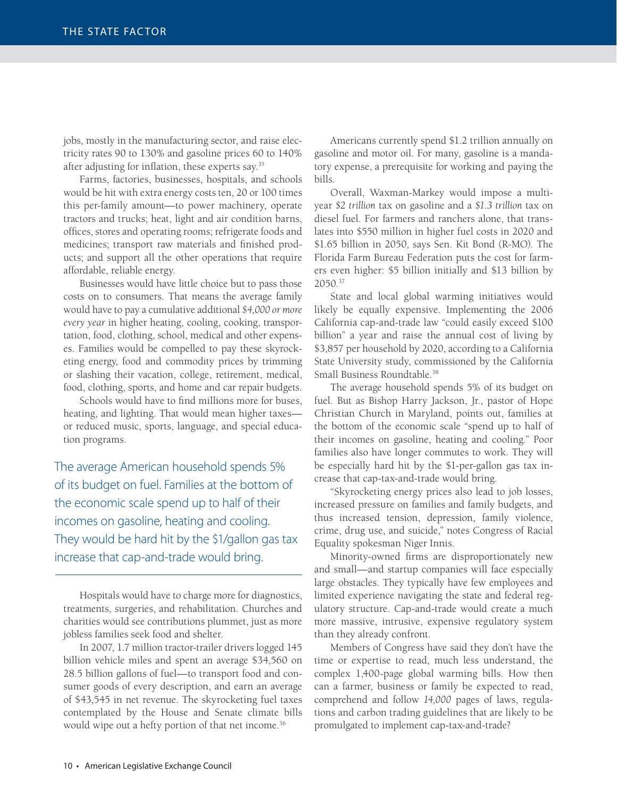jobs, mostly in the manufacturing sector, and raise electricity rates 90 to 130% and gasoline prices 60 to 140% after adjusting for inflation, these experts say.<sup>35</sup>

Farms, factories, businesses, hospitals, and schools would be hit with extra energy costs ten, 20 or 100 times this per-family amount—to power machinery, operate tractors and trucks; heat, light and air condition barns, offices, stores and operating rooms; refrigerate foods and medicines; transport raw materials and finished products; and support all the other operations that require affordable, reliable energy.

Businesses would have little choice but to pass those costs on to consumers. That means the average family would have to pay a cumulative additional *\$4,000 or more every year* in higher heating, cooling, cooking, transportation, food, clothing, school, medical and other expenses. Families would be compelled to pay these skyrocketing energy, food and commodity prices by trimming or slashing their vacation, college, retirement, medical, food, clothing, sports, and home and car repair budgets.

Schools would have to find millions more for buses, heating, and lighting. That would mean higher taxes or reduced music, sports, language, and special education programs.

The average American household spends 5% of its budget on fuel. Families at the bottom of the economic scale spend up to half of their incomes on gasoline, heating and cooling. They would be hard hit by the \$1/gallon gas tax increase that cap-and-trade would bring.

Hospitals would have to charge more for diagnostics, treatments, surgeries, and rehabilitation. Churches and charities would see contributions plummet, just as more jobless families seek food and shelter.

In 2007, 1.7 million tractor-trailer drivers logged 145 billion vehicle miles and spent an average \$34,560 on 28.5 billion gallons of fuel—to transport food and consumer goods of every description, and earn an average of \$43,545 in net revenue. The skyrocketing fuel taxes contemplated by the House and Senate climate bills would wipe out a hefty portion of that net income.<sup>36</sup>

Americans currently spend \$1.2 trillion annually on gasoline and motor oil. For many, gasoline is a mandatory expense, a prerequisite for working and paying the bills.

Overall, Waxman-Markey would impose a multiyear *\$2 trillion* tax on gasoline and a *\$1.3 trillion* tax on diesel fuel. For farmers and ranchers alone, that translates into \$550 million in higher fuel costs in 2020 and \$1.65 billion in 2050, says Sen. Kit Bond (R-MO). The Florida Farm Bureau Federation puts the cost for farmers even higher: \$5 billion initially and \$13 billion by 2050.37

State and local global warming initiatives would likely be equally expensive. Implementing the 2006 California cap-and-trade law "could easily exceed \$100 billion" a year and raise the annual cost of living by \$3,857 per household by 2020, according to a California State University study, commissioned by the California Small Business Roundtable.<sup>38</sup>

The average household spends 5% of its budget on fuel. But as Bishop Harry Jackson, Jr., pastor of Hope Christian Church in Maryland, points out, families at the bottom of the economic scale "spend up to half of their incomes on gasoline, heating and cooling." Poor families also have longer commutes to work. They will be especially hard hit by the \$1-per-gallon gas tax increase that cap-tax-and-trade would bring.

"Skyrocketing energy prices also lead to job losses, increased pressure on families and family budgets, and thus increased tension, depression, family violence, crime, drug use, and suicide," notes Congress of Racial Equality spokesman Niger Innis.

Minority-owned firms are disproportionately new and small—and startup companies will face especially large obstacles. They typically have few employees and limited experience navigating the state and federal regulatory structure. Cap-and-trade would create a much more massive, intrusive, expensive regulatory system than they already confront.

Members of Congress have said they don't have the time or expertise to read, much less understand, the complex 1,400-page global warming bills. How then can a farmer, business or family be expected to read, comprehend and follow *14,000* pages of laws, regulations and carbon trading guidelines that are likely to be promulgated to implement cap-tax-and-trade?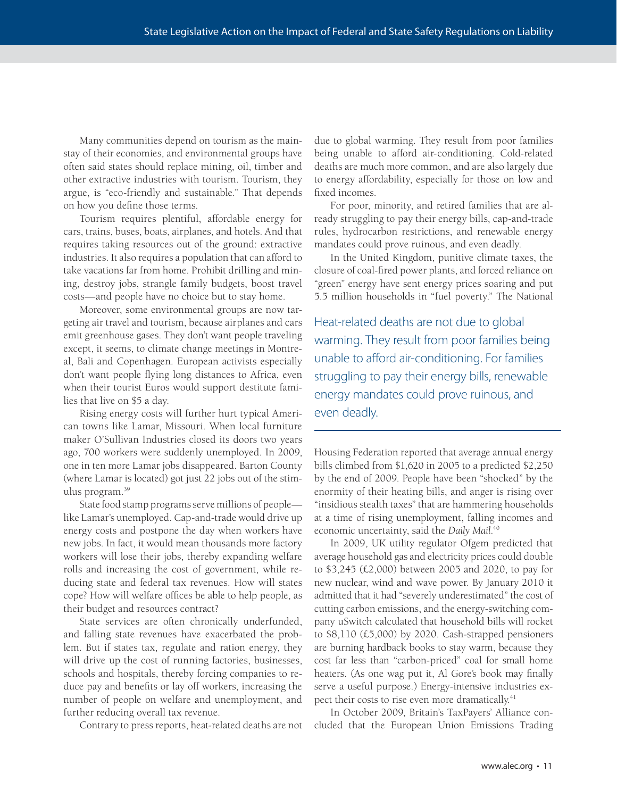Many communities depend on tourism as the mainstay of their economies, and environmental groups have often said states should replace mining, oil, timber and other extractive industries with tourism. Tourism, they argue, is "eco-friendly and sustainable." That depends on how you define those terms.

Tourism requires plentiful, affordable energy for cars, trains, buses, boats, airplanes, and hotels. And that requires taking resources out of the ground: extractive industries. It also requires a population that can afford to take vacations far from home. Prohibit drilling and mining, destroy jobs, strangle family budgets, boost travel costs—and people have no choice but to stay home.

Moreover, some environmental groups are now targeting air travel and tourism, because airplanes and cars emit greenhouse gases. They don't want people traveling except, it seems, to climate change meetings in Montreal, Bali and Copenhagen. European activists especially don't want people flying long distances to Africa, even when their tourist Euros would support destitute families that live on \$5 a day.

Rising energy costs will further hurt typical American towns like Lamar, Missouri. When local furniture maker O'Sullivan Industries closed its doors two years ago, 700 workers were suddenly unemployed. In 2009, one in ten more Lamar jobs disappeared. Barton County (where Lamar is located) got just 22 jobs out of the stimulus program.39

State food stamp programs serve millions of people like Lamar's unemployed. Cap-and-trade would drive up energy costs and postpone the day when workers have new jobs. In fact, it would mean thousands more factory workers will lose their jobs, thereby expanding welfare rolls and increasing the cost of government, while reducing state and federal tax revenues. How will states cope? How will welfare offices be able to help people, as their budget and resources contract?

State services are often chronically underfunded, and falling state revenues have exacerbated the problem. But if states tax, regulate and ration energy, they will drive up the cost of running factories, businesses, schools and hospitals, thereby forcing companies to reduce pay and benefits or lay off workers, increasing the number of people on welfare and unemployment, and further reducing overall tax revenue.

Contrary to press reports, heat-related deaths are not

due to global warming. They result from poor families being unable to afford air-conditioning. Cold-related deaths are much more common, and are also largely due to energy affordability, especially for those on low and fixed incomes.

For poor, minority, and retired families that are already struggling to pay their energy bills, cap-and-trade rules, hydrocarbon restrictions, and renewable energy mandates could prove ruinous, and even deadly.

In the United Kingdom, punitive climate taxes, the closure of coal-fi red power plants, and forced reliance on "green" energy have sent energy prices soaring and put 5.5 million households in "fuel poverty." The National

Heat-related deaths are not due to global warming. They result from poor families being unable to afford air-conditioning. For families struggling to pay their energy bills, renewable energy mandates could prove ruinous, and even deadly.

Housing Federation reported that average annual energy bills climbed from \$1,620 in 2005 to a predicted \$2,250 by the end of 2009. People have been "shocked" by the enormity of their heating bills, and anger is rising over "insidious stealth taxes" that are hammering households at a time of rising unemployment, falling incomes and economic uncertainty, said the *Daily Mail*. 40

In 2009, UK utility regulator Ofgem predicted that average household gas and electricity prices could double to \$3,245 (£2,000) between 2005 and 2020, to pay for new nuclear, wind and wave power. By January 2010 it admitted that it had "severely underestimated" the cost of cutting carbon emissions, and the energy-switching company uSwitch calculated that household bills will rocket to \$8,110 (£5,000) by 2020. Cash-strapped pensioners are burning hardback books to stay warm, because they cost far less than "carbon-priced" coal for small home heaters. (As one wag put it, Al Gore's book may finally serve a useful purpose.) Energy-intensive industries expect their costs to rise even more dramatically.<sup>41</sup>

In October 2009, Britain's TaxPayers' Alliance concluded that the European Union Emissions Trading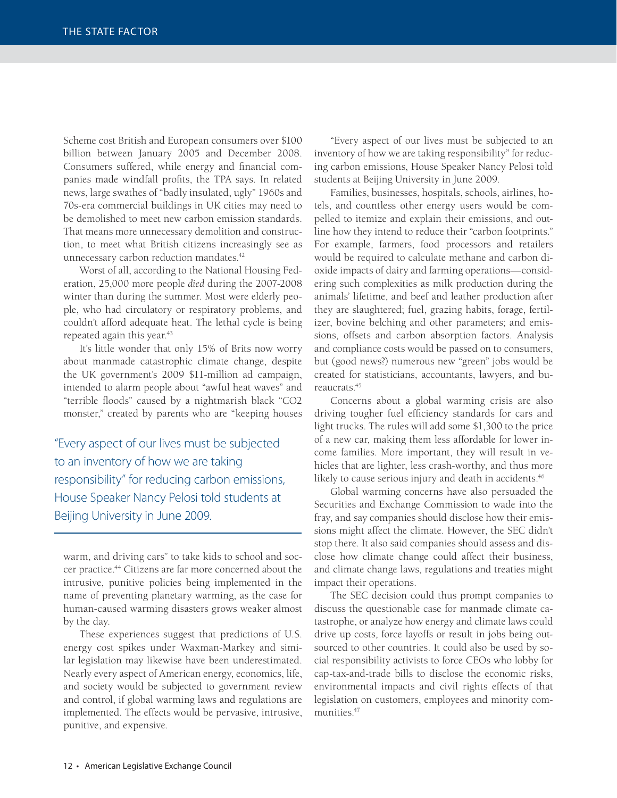Scheme cost British and European consumers over \$100 billion between January 2005 and December 2008. Consumers suffered, while energy and financial companies made windfall profits, the TPA says. In related news, large swathes of "badly insulated, ugly" 1960s and 70s-era commercial buildings in UK cities may need to be demolished to meet new carbon emission standards. That means more unnecessary demolition and construction, to meet what British citizens increasingly see as unnecessary carbon reduction mandates.<sup>42</sup>

Worst of all, according to the National Housing Federation, 25,000 more people *died* during the 2007-2008 winter than during the summer. Most were elderly people, who had circulatory or respiratory problems, and couldn't afford adequate heat. The lethal cycle is being repeated again this year.<sup>43</sup>

It's little wonder that only 15% of Brits now worry about manmade catastrophic climate change, despite the UK government's 2009 \$11-million ad campaign, intended to alarm people about "awful heat waves" and "terrible floods" caused by a nightmarish black "CO2 monster," created by parents who are "keeping houses

"Every aspect of our lives must be subjected to an inventory of how we are taking responsibility" for reducing carbon emissions, House Speaker Nancy Pelosi told students at Beijing University in June 2009.

warm, and driving cars" to take kids to school and soccer practice.<sup>44</sup> Citizens are far more concerned about the intrusive, punitive policies being implemented in the name of preventing planetary warming, as the case for human-caused warming disasters grows weaker almost by the day.

These experiences suggest that predictions of U.S. energy cost spikes under Waxman-Markey and similar legislation may likewise have been underestimated. Nearly every aspect of American energy, economics, life, and society would be subjected to government review and control, if global warming laws and regulations are implemented. The effects would be pervasive, intrusive, punitive, and expensive.

"Every aspect of our lives must be subjected to an inventory of how we are taking responsibility" for reducing carbon emissions, House Speaker Nancy Pelosi told students at Beijing University in June 2009.

Families, businesses, hospitals, schools, airlines, hotels, and countless other energy users would be compelled to itemize and explain their emissions, and outline how they intend to reduce their "carbon footprints." For example, farmers, food processors and retailers would be required to calculate methane and carbon dioxide impacts of dairy and farming operations—considering such complexities as milk production during the animals' lifetime, and beef and leather production after they are slaughtered; fuel, grazing habits, forage, fertilizer, bovine belching and other parameters; and emissions, offsets and carbon absorption factors. Analysis and compliance costs would be passed on to consumers, but (good news?) numerous new "green" jobs would be created for statisticians, accountants, lawyers, and bureaucrats.45

Concerns about a global warming crisis are also driving tougher fuel efficiency standards for cars and light trucks. The rules will add some \$1,300 to the price of a new car, making them less affordable for lower income families. More important, they will result in vehicles that are lighter, less crash-worthy, and thus more likely to cause serious injury and death in accidents.<sup>46</sup>

Global warming concerns have also persuaded the Securities and Exchange Commission to wade into the fray, and say companies should disclose how their emissions might affect the climate. However, the SEC didn't stop there. It also said companies should assess and disclose how climate change could affect their business, and climate change laws, regulations and treaties might impact their operations.

The SEC decision could thus prompt companies to discuss the questionable case for manmade climate catastrophe, or analyze how energy and climate laws could drive up costs, force layoffs or result in jobs being outsourced to other countries. It could also be used by social responsibility activists to force CEOs who lobby for cap-tax-and-trade bills to disclose the economic risks, environmental impacts and civil rights effects of that legislation on customers, employees and minority communities.<sup>47</sup>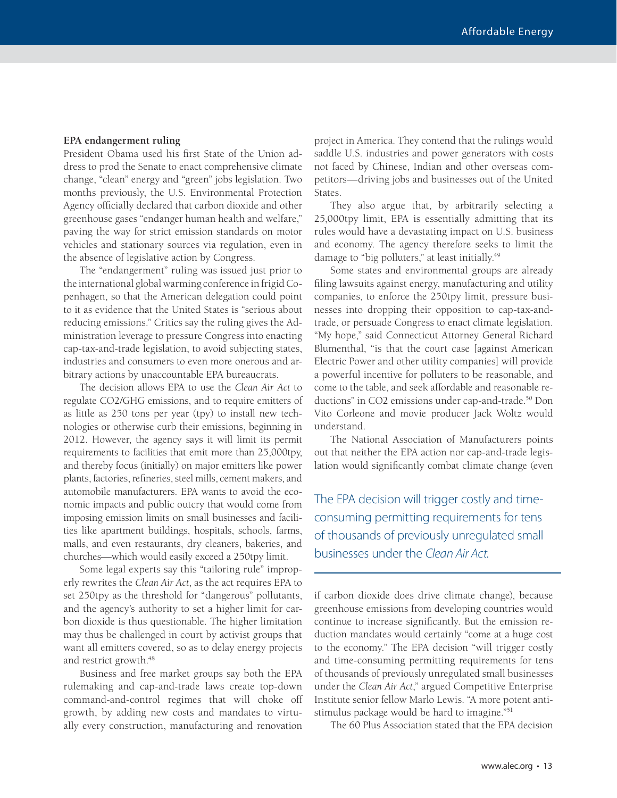#### **EPA endangerment ruling**

President Obama used his first State of the Union address to prod the Senate to enact comprehensive climate change, "clean" energy and "green" jobs legislation. Two months previously, the U.S. Environmental Protection Agency officially declared that carbon dioxide and other greenhouse gases "endanger human health and welfare," paving the way for strict emission standards on motor vehicles and stationary sources via regulation, even in the absence of legislative action by Congress.

The "endangerment" ruling was issued just prior to the international global warming conference in frigid Copenhagen, so that the American delegation could point to it as evidence that the United States is "serious about reducing emissions." Critics say the ruling gives the Administration leverage to pressure Congress into enacting cap-tax-and-trade legislation, to avoid subjecting states, industries and consumers to even more onerous and arbitrary actions by unaccountable EPA bureaucrats.

The decision allows EPA to use the *Clean Air Act* to regulate CO2/GHG emissions, and to require emitters of as little as 250 tons per year (tpy) to install new technologies or otherwise curb their emissions, beginning in 2012. However, the agency says it will limit its permit requirements to facilities that emit more than 25,000tpy, and thereby focus (initially) on major emitters like power plants, factories, refineries, steel mills, cement makers, and automobile manufacturers. EPA wants to avoid the economic impacts and public outcry that would come from imposing emission limits on small businesses and facilities like apartment buildings, hospitals, schools, farms, malls, and even restaurants, dry cleaners, bakeries, and churches—which would easily exceed a 250tpy limit.

Some legal experts say this "tailoring rule" improperly rewrites the *Clean Air Act*, as the act requires EPA to set 250tpy as the threshold for "dangerous" pollutants, and the agency's authority to set a higher limit for carbon dioxide is thus questionable. The higher limitation may thus be challenged in court by activist groups that want all emitters covered, so as to delay energy projects and restrict growth.48

Business and free market groups say both the EPA rulemaking and cap-and-trade laws create top-down command-and-control regimes that will choke off growth, by adding new costs and mandates to virtually every construction, manufacturing and renovation

project in America. They contend that the rulings would saddle U.S. industries and power generators with costs not faced by Chinese, Indian and other overseas competitors—driving jobs and businesses out of the United States.

They also argue that, by arbitrarily selecting a 25,000tpy limit, EPA is essentially admitting that its rules would have a devastating impact on U.S. business and economy. The agency therefore seeks to limit the damage to "big polluters," at least initially.<sup>49</sup>

Some states and environmental groups are already filing lawsuits against energy, manufacturing and utility companies, to enforce the 250tpy limit, pressure businesses into dropping their opposition to cap-tax-andtrade, or persuade Congress to enact climate legislation. "My hope," said Connecticut Attorney General Richard Blumenthal, "is that the court case [against American Electric Power and other utility companies] will provide a powerful incentive for polluters to be reasonable, and come to the table, and seek affordable and reasonable reductions" in CO2 emissions under cap-and-trade.<sup>50</sup> Don Vito Corleone and movie producer Jack Woltz would understand.

The National Association of Manufacturers points out that neither the EPA action nor cap-and-trade legislation would significantly combat climate change (even

The EPA decision will trigger costly and timeconsuming permitting requirements for tens of thousands of previously unregulated small businesses under the Clean Air Act.

if carbon dioxide does drive climate change), because greenhouse emissions from developing countries would continue to increase significantly. But the emission reduction mandates would certainly "come at a huge cost to the economy." The EPA decision "will trigger costly and time-consuming permitting requirements for tens of thousands of previously unregulated small businesses under the *Clean Air Act*," argued Competitive Enterprise Institute senior fellow Marlo Lewis. "A more potent antistimulus package would be hard to imagine."51

The 60 Plus Association stated that the EPA decision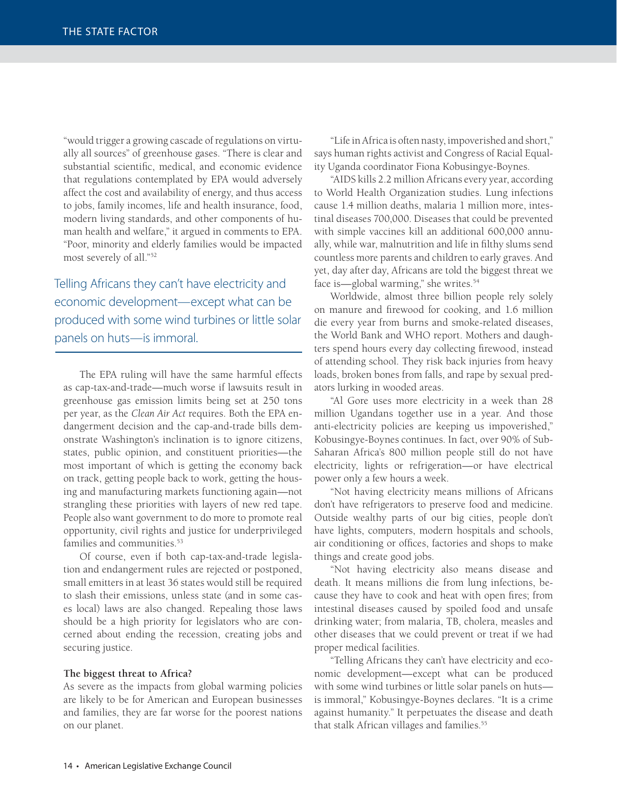"would trigger a growing cascade of regulations on virtually all sources" of greenhouse gases. "There is clear and substantial scientific, medical, and economic evidence that regulations contemplated by EPA would adversely affect the cost and availability of energy, and thus access to jobs, family incomes, life and health insurance, food, modern living standards, and other components of human health and welfare," it argued in comments to EPA. "Poor, minority and elderly families would be impacted most severely of all."52

Telling Africans they can't have electricity and economic development—except what can be produced with some wind turbines or little solar panels on huts—is immoral.

The EPA ruling will have the same harmful effects as cap-tax-and-trade—much worse if lawsuits result in greenhouse gas emission limits being set at 250 tons per year, as the *Clean Air Act* requires. Both the EPA endangerment decision and the cap-and-trade bills demonstrate Washington's inclination is to ignore citizens, states, public opinion, and constituent priorities—the most important of which is getting the economy back on track, getting people back to work, getting the housing and manufacturing markets functioning again—not strangling these priorities with layers of new red tape. People also want government to do more to promote real opportunity, civil rights and justice for underprivileged families and communities.<sup>53</sup>

Of course, even if both cap-tax-and-trade legislation and endangerment rules are rejected or postponed, small emitters in at least 36 states would still be required to slash their emissions, unless state (and in some cases local) laws are also changed. Repealing those laws should be a high priority for legislators who are concerned about ending the recession, creating jobs and securing justice.

#### **The biggest threat to Africa?**

As severe as the impacts from global warming policies are likely to be for American and European businesses and families, they are far worse for the poorest nations on our planet.

"Life in Africa is often nasty, impoverished and short," says human rights activist and Congress of Racial Equality Uganda coordinator Fiona Kobusingye-Boynes.

"AIDS kills 2.2 million Africans every year, according to World Health Organization studies. Lung infections cause 1.4 million deaths, malaria 1 million more, intestinal diseases 700,000. Diseases that could be prevented with simple vaccines kill an additional 600,000 annually, while war, malnutrition and life in filthy slums send countless more parents and children to early graves. And yet, day after day, Africans are told the biggest threat we face is—global warming," she writes.<sup>54</sup>

Worldwide, almost three billion people rely solely on manure and firewood for cooking, and 1.6 million die every year from burns and smoke-related diseases, the World Bank and WHO report. Mothers and daughters spend hours every day collecting firewood, instead of attending school. They risk back injuries from heavy loads, broken bones from falls, and rape by sexual predators lurking in wooded areas.

"Al Gore uses more electricity in a week than 28 million Ugandans together use in a year. And those anti-electricity policies are keeping us impoverished," Kobusingye-Boynes continues. In fact, over 90% of Sub-Saharan Africa's 800 million people still do not have electricity, lights or refrigeration—or have electrical power only a few hours a week.

"Not having electricity means millions of Africans don't have refrigerators to preserve food and medicine. Outside wealthy parts of our big cities, people don't have lights, computers, modern hospitals and schools, air conditioning or offices, factories and shops to make things and create good jobs.

"Not having electricity also means disease and death. It means millions die from lung infections, because they have to cook and heat with open fires; from intestinal diseases caused by spoiled food and unsafe drinking water; from malaria, TB, cholera, measles and other diseases that we could prevent or treat if we had proper medical facilities.

"Telling Africans they can't have electricity and economic development—except what can be produced with some wind turbines or little solar panels on huts is immoral," Kobusingye-Boynes declares. "It is a crime against humanity." It perpetuates the disease and death that stalk African villages and families.<sup>55</sup>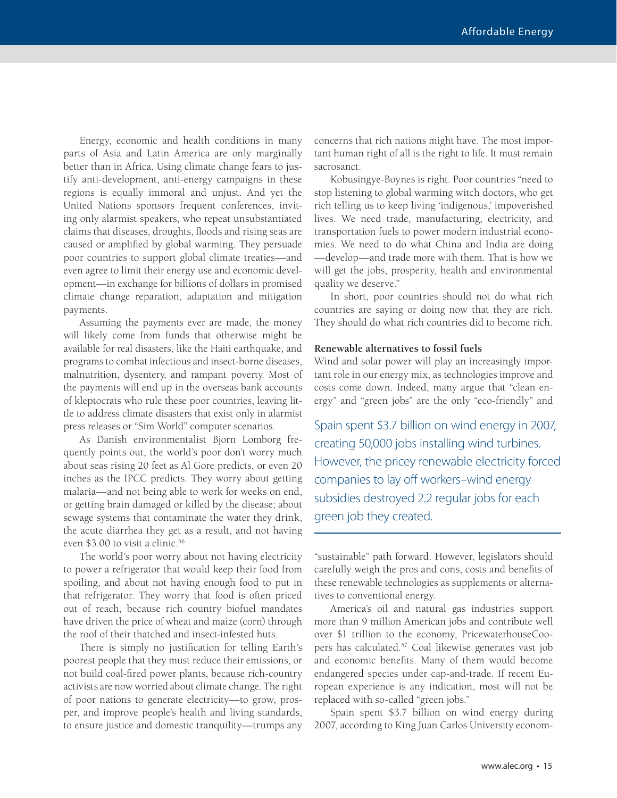Energy, economic and health conditions in many parts of Asia and Latin America are only marginally better than in Africa. Using climate change fears to justify anti-development, anti-energy campaigns in these regions is equally immoral and unjust. And yet the United Nations sponsors frequent conferences, inviting only alarmist speakers, who repeat unsubstantiated claims that diseases, droughts, floods and rising seas are caused or amplified by global warming. They persuade poor countries to support global climate treaties—and even agree to limit their energy use and economic development—in exchange for billions of dollars in promised climate change reparation, adaptation and mitigation payments.

Assuming the payments ever are made, the money will likely come from funds that otherwise might be available for real disasters, like the Haiti earthquake, and programs to combat infectious and insect-borne diseases, malnutrition, dysentery, and rampant poverty. Most of the payments will end up in the overseas bank accounts of kleptocrats who rule these poor countries, leaving little to address climate disasters that exist only in alarmist press releases or "Sim World" computer scenarios.

As Danish environmentalist Bjorn Lomborg frequently points out, the world's poor don't worry much about seas rising 20 feet as Al Gore predicts, or even 20 inches as the IPCC predicts. They worry about getting malaria—and not being able to work for weeks on end, or getting brain damaged or killed by the disease; about sewage systems that contaminate the water they drink, the acute diarrhea they get as a result, and not having even \$3.00 to visit a clinic.<sup>56</sup>

The world's poor worry about not having electricity to power a refrigerator that would keep their food from spoiling, and about not having enough food to put in that refrigerator. They worry that food is often priced out of reach, because rich country biofuel mandates have driven the price of wheat and maize (corn) through the roof of their thatched and insect-infested huts.

There is simply no justification for telling Earth's poorest people that they must reduce their emissions, or not build coal-fired power plants, because rich-country activists are now worried about climate change. The right of poor nations to generate electricity—to grow, prosper, and improve people's health and living standards, to ensure justice and domestic tranquility—trumps any concerns that rich nations might have. The most important human right of all is the right to life. It must remain sacrosanct.

Kobusingye-Boynes is right. Poor countries "need to stop listening to global warming witch doctors, who get rich telling us to keep living 'indigenous,' impoverished lives. We need trade, manufacturing, electricity, and transportation fuels to power modern industrial economies. We need to do what China and India are doing —develop—and trade more with them. That is how we will get the jobs, prosperity, health and environmental quality we deserve."

In short, poor countries should not do what rich countries are saying or doing now that they are rich. They should do what rich countries did to become rich.

#### **Renewable alternatives to fossil fuels**

Wind and solar power will play an increasingly important role in our energy mix, as technologies improve and costs come down. Indeed, many argue that "clean energy" and "green jobs" are the only "eco-friendly" and

Spain spent \$3.7 billion on wind energy in 2007, creating 50,000 jobs installing wind turbines. However, the pricey renewable electricity forced companies to lay off workers–wind energy subsidies destroyed 2.2 regular jobs for each green job they created.

"sustainable" path forward. However, legislators should carefully weigh the pros and cons, costs and benefits of these renewable technologies as supplements or alternatives to conventional energy.

America's oil and natural gas industries support more than 9 million American jobs and contribute well over \$1 trillion to the economy, PricewaterhouseCoopers has calculated.57 Coal likewise generates vast job and economic benefits. Many of them would become endangered species under cap-and-trade. If recent European experience is any indication, most will not be replaced with so-called "green jobs."

Spain spent \$3.7 billion on wind energy during 2007, according to King Juan Carlos University econom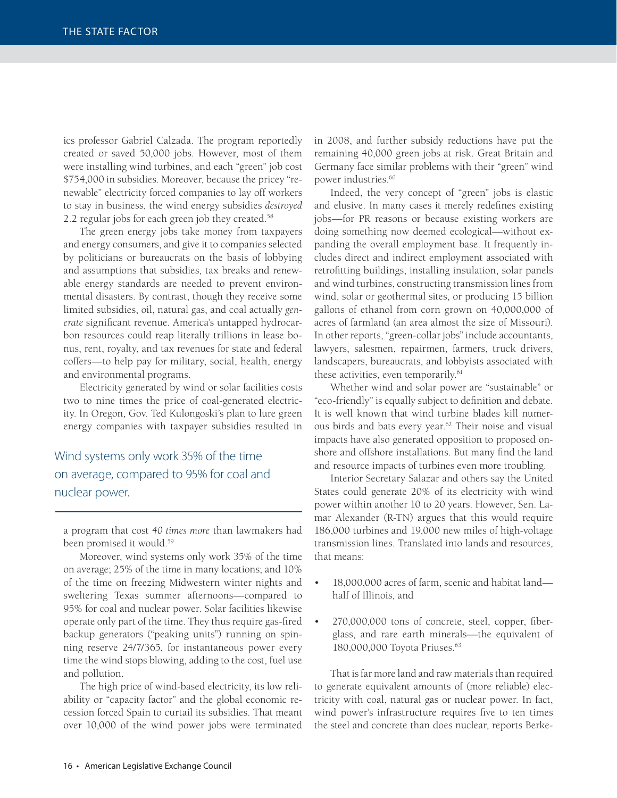ics professor Gabriel Calzada. The program reportedly created or saved 50,000 jobs. However, most of them were installing wind turbines, and each "green" job cost \$754,000 in subsidies. Moreover, because the pricey "renewable" electricity forced companies to lay off workers to stay in business, the wind energy subsidies *destroyed*  2.2 regular jobs for each green job they created.<sup>58</sup>

The green energy jobs take money from taxpayers and energy consumers, and give it to companies selected by politicians or bureaucrats on the basis of lobbying and assumptions that subsidies, tax breaks and renewable energy standards are needed to prevent environmental disasters. By contrast, though they receive some limited subsidies, oil, natural gas, and coal actually *gen*erate significant revenue. America's untapped hydrocarbon resources could reap literally trillions in lease bonus, rent, royalty, and tax revenues for state and federal coffers—to help pay for military, social, health, energy and environmental programs.

Electricity generated by wind or solar facilities costs two to nine times the price of coal-generated electricity. In Oregon, Gov. Ted Kulongoski's plan to lure green energy companies with taxpayer subsidies resulted in

Wind systems only work 35% of the time on average, compared to 95% for coal and nuclear power.

a program that cost *40 times more* than lawmakers had been promised it would.<sup>59</sup>

Moreover, wind systems only work 35% of the time on average; 25% of the time in many locations; and 10% of the time on freezing Midwestern winter nights and sweltering Texas summer afternoons—compared to 95% for coal and nuclear power. Solar facilities likewise operate only part of the time. They thus require gas-fired backup generators ("peaking units") running on spinning reserve 24/7/365, for instantaneous power every time the wind stops blowing, adding to the cost, fuel use and pollution.

The high price of wind-based electricity, its low reliability or "capacity factor" and the global economic recession forced Spain to curtail its subsidies. That meant over 10,000 of the wind power jobs were terminated

in 2008, and further subsidy reductions have put the remaining 40,000 green jobs at risk. Great Britain and Germany face similar problems with their "green" wind power industries.<sup>60</sup>

Indeed, the very concept of "green" jobs is elastic and elusive. In many cases it merely redefines existing jobs—for PR reasons or because existing workers are doing something now deemed ecological—without expanding the overall employment base. It frequently includes direct and indirect employment associated with retrofitting buildings, installing insulation, solar panels and wind turbines, constructing transmission lines from wind, solar or geothermal sites, or producing 15 billion gallons of ethanol from corn grown on 40,000,000 of acres of farmland (an area almost the size of Missouri). In other reports, "green-collar jobs" include accountants, lawyers, salesmen, repairmen, farmers, truck drivers, landscapers, bureaucrats, and lobbyists associated with these activities, even temporarily.<sup>61</sup>

Whether wind and solar power are "sustainable" or "eco-friendly" is equally subject to definition and debate. It is well known that wind turbine blades kill numerous birds and bats every year.<sup>62</sup> Their noise and visual impacts have also generated opposition to proposed onshore and offshore installations. But many find the land and resource impacts of turbines even more troubling.

Interior Secretary Salazar and others say the United States could generate 20% of its electricity with wind power within another 10 to 20 years. However, Sen. Lamar Alexander (R-TN) argues that this would require 186,000 turbines and 19,000 new miles of high-voltage transmission lines. Translated into lands and resources, that means:

- 18,000,000 acres of farm, scenic and habitat land half of Illinois, and
- 270,000,000 tons of concrete, steel, copper, fiberglass, and rare earth minerals—the equivalent of 180,000,000 Toyota Priuses.63

That is far more land and raw materials than required to generate equivalent amounts of (more reliable) electricity with coal, natural gas or nuclear power. In fact, wind power's infrastructure requires five to ten times the steel and concrete than does nuclear, reports Berke-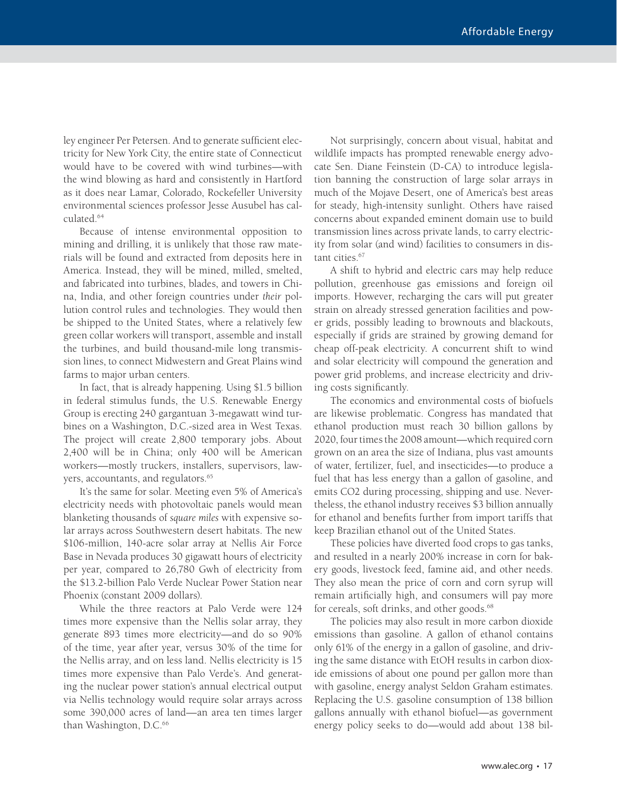ley engineer Per Petersen. And to generate sufficient electricity for New York City, the entire state of Connecticut would have to be covered with wind turbines—with the wind blowing as hard and consistently in Hartford as it does near Lamar, Colorado, Rockefeller University environmental sciences professor Jesse Ausubel has calculated.64

Because of intense environmental opposition to mining and drilling, it is unlikely that those raw materials will be found and extracted from deposits here in America. Instead, they will be mined, milled, smelted, and fabricated into turbines, blades, and towers in China, India, and other foreign countries under *their* pollution control rules and technologies. They would then be shipped to the United States, where a relatively few green collar workers will transport, assemble and install the turbines, and build thousand-mile long transmission lines, to connect Midwestern and Great Plains wind farms to major urban centers.

In fact, that is already happening. Using \$1.5 billion in federal stimulus funds, the U.S. Renewable Energy Group is erecting 240 gargantuan 3-megawatt wind turbines on a Washington, D.C.-sized area in West Texas. The project will create 2,800 temporary jobs. About 2,400 will be in China; only 400 will be American workers—mostly truckers, installers, supervisors, lawyers, accountants, and regulators.<sup>65</sup>

It's the same for solar. Meeting even 5% of America's electricity needs with photovoltaic panels would mean blanketing thousands of *square miles* with expensive solar arrays across Southwestern desert habitats. The new \$106-million, 140-acre solar array at Nellis Air Force Base in Nevada produces 30 gigawatt hours of electricity per year, compared to 26,780 Gwh of electricity from the \$13.2-billion Palo Verde Nuclear Power Station near Phoenix (constant 2009 dollars).

While the three reactors at Palo Verde were 124 times more expensive than the Nellis solar array, they generate 893 times more electricity—and do so 90% of the time, year after year, versus 30% of the time for the Nellis array, and on less land. Nellis electricity is 15 times more expensive than Palo Verde's. And generating the nuclear power station's annual electrical output via Nellis technology would require solar arrays across some 390,000 acres of land—an area ten times larger than Washington, D.C.<sup>66</sup>

Not surprisingly, concern about visual, habitat and wildlife impacts has prompted renewable energy advocate Sen. Diane Feinstein (D-CA) to introduce legislation banning the construction of large solar arrays in much of the Mojave Desert, one of America's best areas for steady, high-intensity sunlight. Others have raised concerns about expanded eminent domain use to build transmission lines across private lands, to carry electricity from solar (and wind) facilities to consumers in distant cities.<sup>67</sup>

A shift to hybrid and electric cars may help reduce pollution, greenhouse gas emissions and foreign oil imports. However, recharging the cars will put greater strain on already stressed generation facilities and power grids, possibly leading to brownouts and blackouts, especially if grids are strained by growing demand for cheap off-peak electricity. A concurrent shift to wind and solar electricity will compound the generation and power grid problems, and increase electricity and driving costs significantly.

The economics and environmental costs of biofuels are likewise problematic. Congress has mandated that ethanol production must reach 30 billion gallons by 2020, four times the 2008 amount—which required corn grown on an area the size of Indiana, plus vast amounts of water, fertilizer, fuel, and insecticides—to produce a fuel that has less energy than a gallon of gasoline, and emits CO2 during processing, shipping and use. Nevertheless, the ethanol industry receives \$3 billion annually for ethanol and benefits further from import tariffs that keep Brazilian ethanol out of the United States.

These policies have diverted food crops to gas tanks, and resulted in a nearly 200% increase in corn for bakery goods, livestock feed, famine aid, and other needs. They also mean the price of corn and corn syrup will remain artificially high, and consumers will pay more for cereals, soft drinks, and other goods.<sup>68</sup>

The policies may also result in more carbon dioxide emissions than gasoline. A gallon of ethanol contains only 61% of the energy in a gallon of gasoline, and driving the same distance with EtOH results in carbon dioxide emissions of about one pound per gallon more than with gasoline, energy analyst Seldon Graham estimates. Replacing the U.S. gasoline consumption of 138 billion gallons annually with ethanol biofuel—as government energy policy seeks to do—would add about 138 bil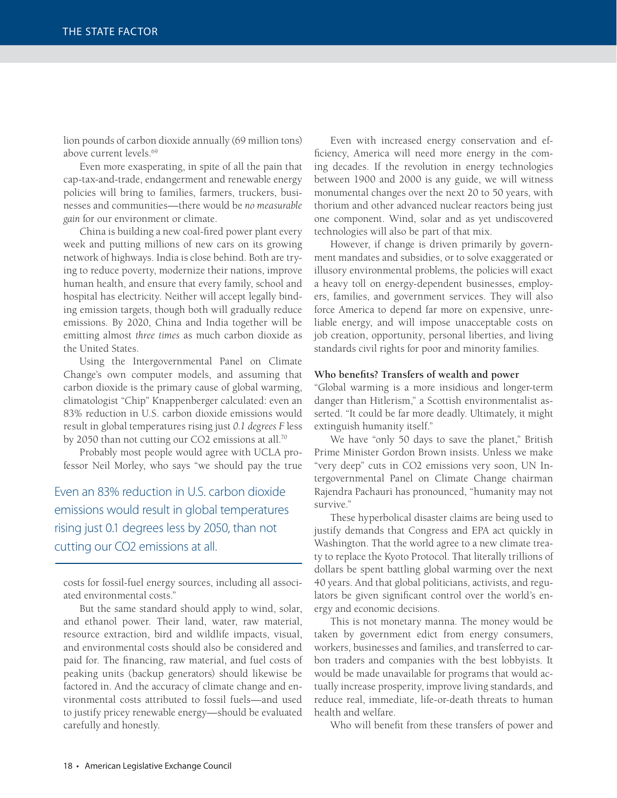lion pounds of carbon dioxide annually (69 million tons) above current levels.<sup>69</sup>

Even more exasperating, in spite of all the pain that cap-tax-and-trade, endangerment and renewable energy policies will bring to families, farmers, truckers, businesses and communities—there would be *no measurable gain* for our environment or climate.

China is building a new coal-fired power plant every week and putting millions of new cars on its growing network of highways. India is close behind. Both are trying to reduce poverty, modernize their nations, improve human health, and ensure that every family, school and hospital has electricity. Neither will accept legally binding emission targets, though both will gradually reduce emissions. By 2020, China and India together will be emitting almost *three times* as much carbon dioxide as the United States.

Using the Intergovernmental Panel on Climate Change's own computer models, and assuming that carbon dioxide is the primary cause of global warming, climatologist "Chip" Knappenberger calculated: even an 83% reduction in U.S. carbon dioxide emissions would result in global temperatures rising just *0.1 degrees F* less by 2050 than not cutting our CO2 emissions at all.<sup>70</sup>

Probably most people would agree with UCLA professor Neil Morley, who says "we should pay the true

Even an 83% reduction in U.S. carbon dioxide emissions would result in global temperatures rising just 0.1 degrees less by 2050, than not cutting our CO2 emissions at all.

costs for fossil-fuel energy sources, including all associated environmental costs."

But the same standard should apply to wind, solar, and ethanol power. Their land, water, raw material, resource extraction, bird and wildlife impacts, visual, and environmental costs should also be considered and paid for. The financing, raw material, and fuel costs of peaking units (backup generators) should likewise be factored in. And the accuracy of climate change and environmental costs attributed to fossil fuels—and used to justify pricey renewable energy—should be evaluated carefully and honestly.

Even with increased energy conservation and efficiency, America will need more energy in the coming decades. If the revolution in energy technologies between 1900 and 2000 is any guide, we will witness monumental changes over the next 20 to 50 years, with thorium and other advanced nuclear reactors being just one component. Wind, solar and as yet undiscovered technologies will also be part of that mix.

However, if change is driven primarily by government mandates and subsidies, or to solve exaggerated or illusory environmental problems, the policies will exact a heavy toll on energy-dependent businesses, employers, families, and government services. They will also force America to depend far more on expensive, unreliable energy, and will impose unacceptable costs on job creation, opportunity, personal liberties, and living standards civil rights for poor and minority families.

#### Who benefits? Transfers of wealth and power

"Global warming is a more insidious and longer-term danger than Hitlerism," a Scottish environmentalist asserted. "It could be far more deadly. Ultimately, it might extinguish humanity itself."

We have "only 50 days to save the planet," British Prime Minister Gordon Brown insists. Unless we make "very deep" cuts in CO2 emissions very soon, UN Intergovernmental Panel on Climate Change chairman Rajendra Pachauri has pronounced, "humanity may not survive."

These hyperbolical disaster claims are being used to justify demands that Congress and EPA act quickly in Washington. That the world agree to a new climate treaty to replace the Kyoto Protocol. That literally trillions of dollars be spent battling global warming over the next 40 years. And that global politicians, activists, and regulators be given significant control over the world's energy and economic decisions.

This is not monetary manna. The money would be taken by government edict from energy consumers, workers, businesses and families, and transferred to carbon traders and companies with the best lobbyists. It would be made unavailable for programs that would actually increase prosperity, improve living standards, and reduce real, immediate, life-or-death threats to human health and welfare.

Who will benefit from these transfers of power and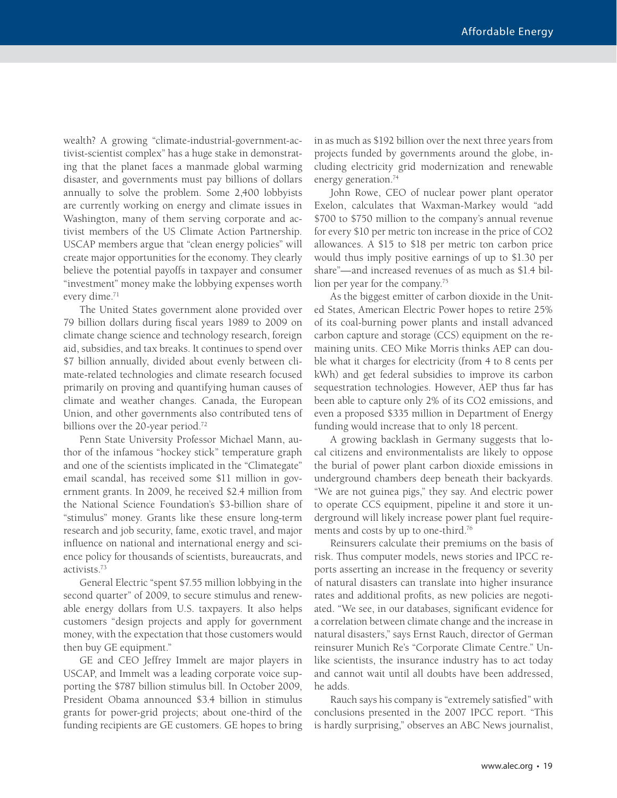wealth? A growing "climate-industrial-government-activist-scientist complex" has a huge stake in demonstrating that the planet faces a manmade global warming disaster, and governments must pay billions of dollars annually to solve the problem. Some 2,400 lobbyists are currently working on energy and climate issues in Washington, many of them serving corporate and activist members of the US Climate Action Partnership. USCAP members argue that "clean energy policies" will create major opportunities for the economy. They clearly believe the potential payoffs in taxpayer and consumer "investment" money make the lobbying expenses worth every dime.<sup>71</sup>

The United States government alone provided over 79 billion dollars during fiscal years 1989 to 2009 on climate change science and technology research, foreign aid, subsidies, and tax breaks. It continues to spend over \$7 billion annually, divided about evenly between climate-related technologies and climate research focused primarily on proving and quantifying human causes of climate and weather changes. Canada, the European Union, and other governments also contributed tens of billions over the 20-year period.<sup>72</sup>

Penn State University Professor Michael Mann, author of the infamous "hockey stick" temperature graph and one of the scientists implicated in the "Climategate" email scandal, has received some \$11 million in government grants. In 2009, he received \$2.4 million from the National Science Foundation's \$3-billion share of "stimulus" money. Grants like these ensure long-term research and job security, fame, exotic travel, and major influence on national and international energy and science policy for thousands of scientists, bureaucrats, and activists.73

General Electric "spent \$7.55 million lobbying in the second quarter" of 2009, to secure stimulus and renewable energy dollars from U.S. taxpayers. It also helps customers "design projects and apply for government money, with the expectation that those customers would then buy GE equipment."

GE and CEO Jeffrey Immelt are major players in USCAP, and Immelt was a leading corporate voice supporting the \$787 billion stimulus bill. In October 2009, President Obama announced \$3.4 billion in stimulus grants for power-grid projects; about one-third of the funding recipients are GE customers. GE hopes to bring

in as much as \$192 billion over the next three years from projects funded by governments around the globe, including electricity grid modernization and renewable energy generation.<sup>74</sup>

John Rowe, CEO of nuclear power plant operator Exelon, calculates that Waxman-Markey would "add \$700 to \$750 million to the company's annual revenue for every \$10 per metric ton increase in the price of CO2 allowances. A \$15 to \$18 per metric ton carbon price would thus imply positive earnings of up to \$1.30 per share"—and increased revenues of as much as \$1.4 billion per year for the company.<sup>75</sup>

As the biggest emitter of carbon dioxide in the United States, American Electric Power hopes to retire 25% of its coal-burning power plants and install advanced carbon capture and storage (CCS) equipment on the remaining units. CEO Mike Morris thinks AEP can double what it charges for electricity (from 4 to 8 cents per kWh) and get federal subsidies to improve its carbon sequestration technologies. However, AEP thus far has been able to capture only 2% of its CO2 emissions, and even a proposed \$335 million in Department of Energy funding would increase that to only 18 percent.

A growing backlash in Germany suggests that local citizens and environmentalists are likely to oppose the burial of power plant carbon dioxide emissions in underground chambers deep beneath their backyards. "We are not guinea pigs," they say. And electric power to operate CCS equipment, pipeline it and store it underground will likely increase power plant fuel requirements and costs by up to one-third.76

Reinsurers calculate their premiums on the basis of risk. Thus computer models, news stories and IPCC reports asserting an increase in the frequency or severity of natural disasters can translate into higher insurance rates and additional profits, as new policies are negotiated. "We see, in our databases, significant evidence for a correlation between climate change and the increase in natural disasters," says Ernst Rauch, director of German reinsurer Munich Re's "Corporate Climate Centre." Unlike scientists, the insurance industry has to act today and cannot wait until all doubts have been addressed, he adds.

Rauch says his company is "extremely satisfied" with conclusions presented in the 2007 IPCC report. "This is hardly surprising," observes an ABC News journalist,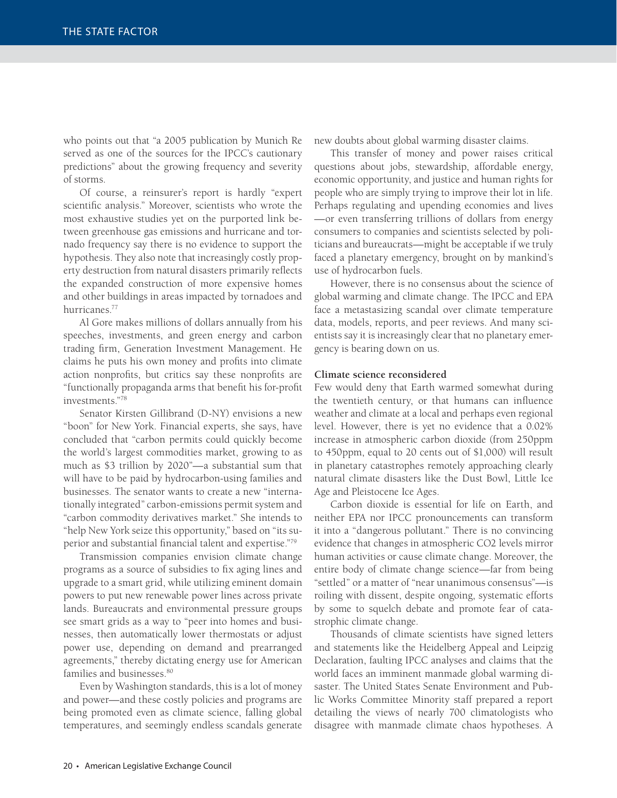who points out that "a 2005 publication by Munich Re served as one of the sources for the IPCC's cautionary predictions" about the growing frequency and severity of storms.

Of course, a reinsurer's report is hardly "expert scientific analysis." Moreover, scientists who wrote the most exhaustive studies yet on the purported link between greenhouse gas emissions and hurricane and tornado frequency say there is no evidence to support the hypothesis. They also note that increasingly costly property destruction from natural disasters primarily reflects the expanded construction of more expensive homes and other buildings in areas impacted by tornadoes and hurricanes.<sup>77</sup>

Al Gore makes millions of dollars annually from his speeches, investments, and green energy and carbon trading firm, Generation Investment Management. He claims he puts his own money and profits into climate action nonprofits, but critics say these nonprofits are "functionally propaganda arms that benefit his for-profit investments."78

Senator Kirsten Gillibrand (D-NY) envisions a new "boon" for New York. Financial experts, she says, have concluded that "carbon permits could quickly become the world's largest commodities market, growing to as much as \$3 trillion by 2020"—a substantial sum that will have to be paid by hydrocarbon-using families and businesses. The senator wants to create a new "internationally integrated" carbon-emissions permit system and "carbon commodity derivatives market." She intends to "help New York seize this opportunity," based on "its superior and substantial financial talent and expertise."79

Transmission companies envision climate change programs as a source of subsidies to fix aging lines and upgrade to a smart grid, while utilizing eminent domain powers to put new renewable power lines across private lands. Bureaucrats and environmental pressure groups see smart grids as a way to "peer into homes and businesses, then automatically lower thermostats or adjust power use, depending on demand and prearranged agreements," thereby dictating energy use for American families and businesses.<sup>80</sup>

Even by Washington standards, this is a lot of money and power—and these costly policies and programs are being promoted even as climate science, falling global temperatures, and seemingly endless scandals generate

new doubts about global warming disaster claims.

This transfer of money and power raises critical questions about jobs, stewardship, affordable energy, economic opportunity, and justice and human rights for people who are simply trying to improve their lot in life. Perhaps regulating and upending economies and lives —or even transferring trillions of dollars from energy consumers to companies and scientists selected by politicians and bureaucrats—might be acceptable if we truly faced a planetary emergency, brought on by mankind's use of hydrocarbon fuels.

However, there is no consensus about the science of global warming and climate change. The IPCC and EPA face a metastasizing scandal over climate temperature data, models, reports, and peer reviews. And many scientists say it is increasingly clear that no planetary emergency is bearing down on us.

#### **Climate science reconsidered**

Few would deny that Earth warmed somewhat during the twentieth century, or that humans can influence weather and climate at a local and perhaps even regional level. However, there is yet no evidence that a 0.02% increase in atmospheric carbon dioxide (from 250ppm to 450ppm, equal to 20 cents out of \$1,000) will result in planetary catastrophes remotely approaching clearly natural climate disasters like the Dust Bowl, Little Ice Age and Pleistocene Ice Ages.

Carbon dioxide is essential for life on Earth, and neither EPA nor IPCC pronouncements can transform it into a "dangerous pollutant." There is no convincing evidence that changes in atmospheric CO2 levels mirror human activities or cause climate change. Moreover, the entire body of climate change science—far from being "settled" or a matter of "near unanimous consensus"—is roiling with dissent, despite ongoing, systematic efforts by some to squelch debate and promote fear of catastrophic climate change.

Thousands of climate scientists have signed letters and statements like the Heidelberg Appeal and Leipzig Declaration, faulting IPCC analyses and claims that the world faces an imminent manmade global warming disaster. The United States Senate Environment and Public Works Committee Minority staff prepared a report detailing the views of nearly 700 climatologists who disagree with manmade climate chaos hypotheses. A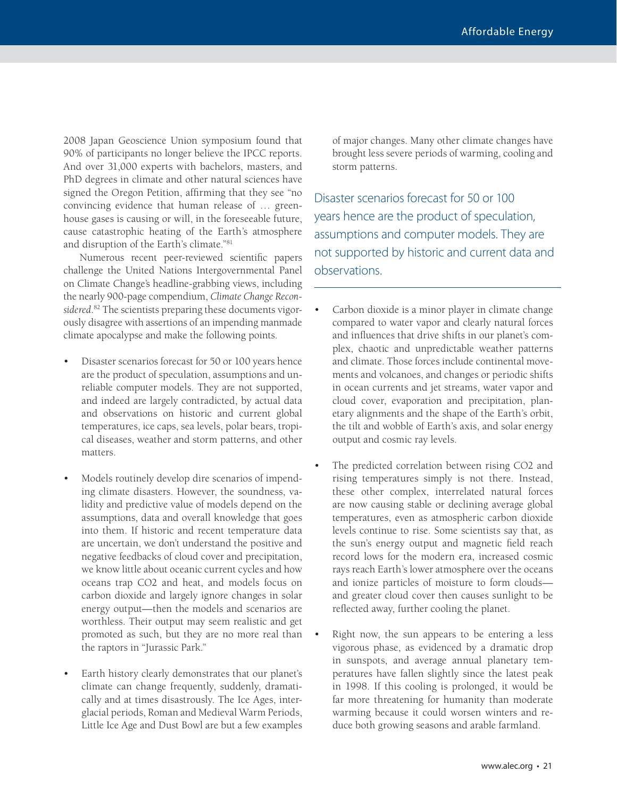2008 Japan Geoscience Union symposium found that 90% of participants no longer believe the IPCC reports. And over 31,000 experts with bachelors, masters, and PhD degrees in climate and other natural sciences have signed the Oregon Petition, affirming that they see "no convincing evidence that human release of … greenhouse gases is causing or will, in the foreseeable future, cause catastrophic heating of the Earth's atmosphere and disruption of the Earth's climate."81

Numerous recent peer-reviewed scientific papers challenge the United Nations Intergovernmental Panel on Climate Change's headline-grabbing views, including the nearly 900-page compendium, *Climate Change Reconsidered*. 82 The scientists preparing these documents vigorously disagree with assertions of an impending manmade climate apocalypse and make the following points.

- Disaster scenarios forecast for 50 or 100 years hence are the product of speculation, assumptions and unreliable computer models. They are not supported, and indeed are largely contradicted, by actual data and observations on historic and current global temperatures, ice caps, sea levels, polar bears, tropical diseases, weather and storm patterns, and other matters.
- Models routinely develop dire scenarios of impending climate disasters. However, the soundness, validity and predictive value of models depend on the assumptions, data and overall knowledge that goes into them. If historic and recent temperature data are uncertain, we don't understand the positive and negative feedbacks of cloud cover and precipitation, we know little about oceanic current cycles and how oceans trap CO2 and heat, and models focus on carbon dioxide and largely ignore changes in solar energy output—then the models and scenarios are worthless. Their output may seem realistic and get promoted as such, but they are no more real than the raptors in "Jurassic Park."
- Earth history clearly demonstrates that our planet's climate can change frequently, suddenly, dramatically and at times disastrously. The Ice Ages, interglacial periods, Roman and Medieval Warm Periods, Little Ice Age and Dust Bowl are but a few examples

of major changes. Many other climate changes have brought less severe periods of warming, cooling and storm patterns.

Disaster scenarios forecast for 50 or 100 years hence are the product of speculation, assumptions and computer models. They are not supported by historic and current data and observations.

- Carbon dioxide is a minor player in climate change compared to water vapor and clearly natural forces and influences that drive shifts in our planet's complex, chaotic and unpredictable weather patterns and climate. Those forces include continental movements and volcanoes, and changes or periodic shifts in ocean currents and jet streams, water vapor and cloud cover, evaporation and precipitation, planetary alignments and the shape of the Earth's orbit, the tilt and wobble of Earth's axis, and solar energy output and cosmic ray levels.
- The predicted correlation between rising CO2 and rising temperatures simply is not there. Instead, these other complex, interrelated natural forces are now causing stable or declining average global temperatures, even as atmospheric carbon dioxide levels continue to rise. Some scientists say that, as the sun's energy output and magnetic field reach record lows for the modern era, increased cosmic rays reach Earth's lower atmosphere over the oceans and ionize particles of moisture to form clouds and greater cloud cover then causes sunlight to be reflected away, further cooling the planet.
- Right now, the sun appears to be entering a less vigorous phase, as evidenced by a dramatic drop in sunspots, and average annual planetary temperatures have fallen slightly since the latest peak in 1998. If this cooling is prolonged, it would be far more threatening for humanity than moderate warming because it could worsen winters and reduce both growing seasons and arable farmland.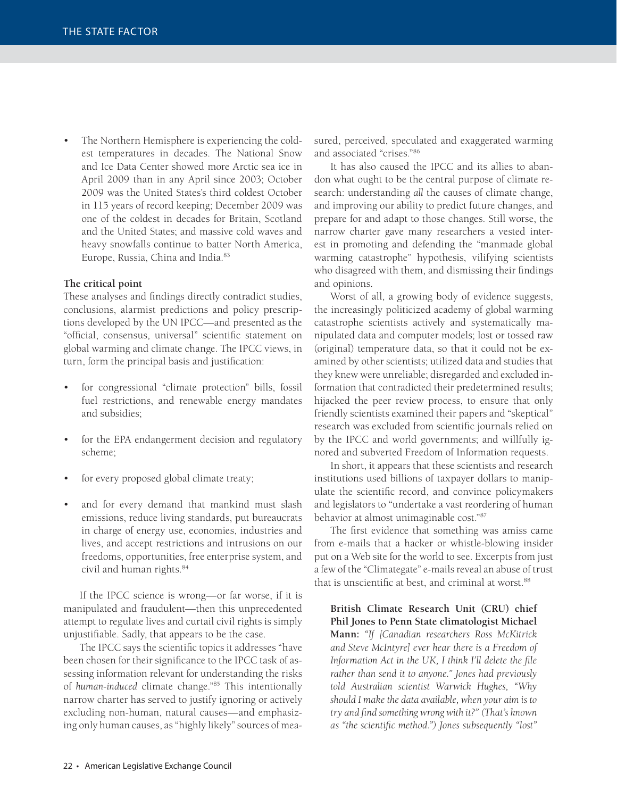The Northern Hemisphere is experiencing the coldest temperatures in decades. The National Snow and Ice Data Center showed more Arctic sea ice in April 2009 than in any April since 2003; October 2009 was the United States's third coldest October in 115 years of record keeping; December 2009 was one of the coldest in decades for Britain, Scotland and the United States; and massive cold waves and heavy snowfalls continue to batter North America, Europe, Russia, China and India.<sup>83</sup>

#### **The critical point**

These analyses and findings directly contradict studies, conclusions, alarmist predictions and policy prescriptions developed by the UN IPCC—and presented as the "official, consensus, universal" scientific statement on global warming and climate change. The IPCC views, in turn, form the principal basis and justification:

- for congressional "climate protection" bills, fossil fuel restrictions, and renewable energy mandates and subsidies;
- for the EPA endangerment decision and regulatory scheme;
- for every proposed global climate treaty;
- and for every demand that mankind must slash emissions, reduce living standards, put bureaucrats in charge of energy use, economies, industries and lives, and accept restrictions and intrusions on our freedoms, opportunities, free enterprise system, and civil and human rights.84

If the IPCC science is wrong—or far worse, if it is manipulated and fraudulent—then this unprecedented attempt to regulate lives and curtail civil rights is simply unjustifiable. Sadly, that appears to be the case.

The IPCC says the scientific topics it addresses "have been chosen for their significance to the IPCC task of assessing information relevant for understanding the risks of *human-induced* climate change."85 This intentionally narrow charter has served to justify ignoring or actively excluding non-human, natural causes—and emphasizing only human causes, as "highly likely" sources of measured, perceived, speculated and exaggerated warming and associated "crises."86

It has also caused the IPCC and its allies to abandon what ought to be the central purpose of climate research: understanding *all* the causes of climate change, and improving our ability to predict future changes, and prepare for and adapt to those changes. Still worse, the narrow charter gave many researchers a vested interest in promoting and defending the "manmade global warming catastrophe" hypothesis, vilifying scientists who disagreed with them, and dismissing their findings and opinions.

Worst of all, a growing body of evidence suggests, the increasingly politicized academy of global warming catastrophe scientists actively and systematically manipulated data and computer models; lost or tossed raw (original) temperature data, so that it could not be examined by other scientists; utilized data and studies that they knew were unreliable; disregarded and excluded information that contradicted their predetermined results; hijacked the peer review process, to ensure that only friendly scientists examined their papers and "skeptical" research was excluded from scientific journals relied on by the IPCC and world governments; and willfully ignored and subverted Freedom of Information requests.

In short, it appears that these scientists and research institutions used billions of taxpayer dollars to manipulate the scientific record, and convince policymakers and legislators to "undertake a vast reordering of human behavior at almost unimaginable cost."87

The first evidence that something was amiss came from e-mails that a hacker or whistle-blowing insider put on a Web site for the world to see. Excerpts from just a few of the "Climategate" e-mails reveal an abuse of trust that is unscientific at best, and criminal at worst.<sup>88</sup>

**British Climate Research Unit (CRU) chief Phil Jones to Penn State climatologist Michael Mann:** *"If [Canadian researchers Ross McKitrick and Steve McIntyre] ever hear there is a Freedom of*  Information Act in the UK, I think I'll delete the file *rather than send it to anyone." Jones had previously told Australian scientist Warwick Hughes, "Why should I make the data available, when your aim is to*  try and find something wrong with it?" (That's known *as "the scientific method.") Jones subsequently "lost"*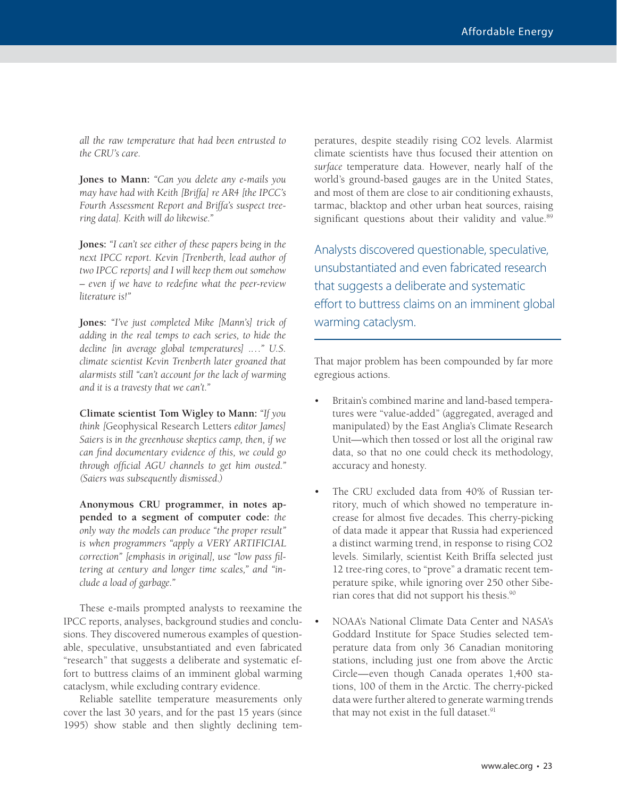*all the raw temperature that had been entrusted to the CRU's care.*

**Jones to Mann:** *"Can you delete any e-mails you may have had with Keith [Briffa] re AR4 [the IPCC's Fourth Assessment Report and Briffa's suspect treering data]. Keith will do likewise."* 

**Jones:** *"I can't see either of these papers being in the next IPCC report. Kevin [Trenberth, lead author of two IPCC reports] and I will keep them out somehow*   $-$  even if we have to redefine what the peer-review *literature is!"* 

**Jones:** *"I've just completed Mike [Mann's] trick of adding in the real temps to each series, to hide the decline [in average global temperatures] .…" U.S. climate scientist Kevin Trenberth later groaned that alarmists still "can't account for the lack of warming and it is a travesty that we can't."*

**Climate scientist Tom Wigley to Mann:** *"If you think [*Geophysical Research Letters *editor James] Saiers is in the greenhouse skeptics camp, then, if we can fi nd documentary evidence of this, we could go*  through official AGU channels to get him ousted." *(Saiers was subsequently dismissed.)* 

**Anonymous CRU programmer, in notes appended to a segment of computer code:** *the only way the models can produce "the proper result" is when programmers "apply a VERY ARTIFICIAL correction"* [emphasis in original], use "low pass fil*tering at century and longer time scales," and "include a load of garbage."*

These e-mails prompted analysts to reexamine the IPCC reports, analyses, background studies and conclusions. They discovered numerous examples of questionable, speculative, unsubstantiated and even fabricated "research" that suggests a deliberate and systematic effort to buttress claims of an imminent global warming cataclysm, while excluding contrary evidence.

Reliable satellite temperature measurements only cover the last 30 years, and for the past 15 years (since 1995) show stable and then slightly declining tem-

peratures, despite steadily rising CO2 levels. Alarmist climate scientists have thus focused their attention on *surface* temperature data. However, nearly half of the world's ground-based gauges are in the United States, and most of them are close to air conditioning exhausts, tarmac, blacktop and other urban heat sources, raising significant questions about their validity and value.<sup>89</sup>

Analysts discovered questionable, speculative, unsubstantiated and even fabricated research that suggests a deliberate and systematic effort to buttress claims on an imminent global warming cataclysm.

That major problem has been compounded by far more egregious actions.

- Britain's combined marine and land-based temperatures were "value-added" (aggregated, averaged and manipulated) by the East Anglia's Climate Research Unit—which then tossed or lost all the original raw data, so that no one could check its methodology, accuracy and honesty.
- The CRU excluded data from 40% of Russian territory, much of which showed no temperature increase for almost five decades. This cherry-picking of data made it appear that Russia had experienced a distinct warming trend, in response to rising CO2 levels. Similarly, scientist Keith Briffa selected just 12 tree-ring cores, to "prove" a dramatic recent temperature spike, while ignoring over 250 other Siberian cores that did not support his thesis.90
- NOAA's National Climate Data Center and NASA's Goddard Institute for Space Studies selected temperature data from only 36 Canadian monitoring stations, including just one from above the Arctic Circle—even though Canada operates 1,400 stations, 100 of them in the Arctic. The cherry-picked data were further altered to generate warming trends that may not exist in the full dataset.<sup>91</sup>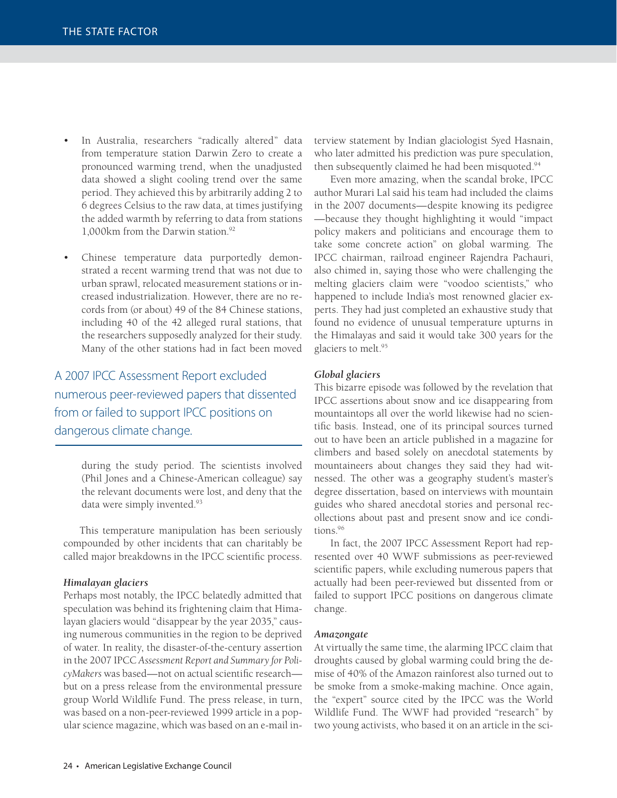- In Australia, researchers "radically altered" data from temperature station Darwin Zero to create a pronounced warming trend, when the unadjusted data showed a slight cooling trend over the same period. They achieved this by arbitrarily adding 2 to 6 degrees Celsius to the raw data, at times justifying the added warmth by referring to data from stations 1,000km from the Darwin station.<sup>92</sup>
- Chinese temperature data purportedly demonstrated a recent warming trend that was not due to urban sprawl, relocated measurement stations or increased industrialization. However, there are no records from (or about) 49 of the 84 Chinese stations, including 40 of the 42 alleged rural stations, that the researchers supposedly analyzed for their study. Many of the other stations had in fact been moved

### A 2007 IPCC Assessment Report excluded numerous peer-reviewed papers that dissented from or failed to support IPCC positions on dangerous climate change.

during the study period. The scientists involved (Phil Jones and a Chinese-American colleague) say the relevant documents were lost, and deny that the data were simply invented.<sup>93</sup>

This temperature manipulation has been seriously compounded by other incidents that can charitably be called major breakdowns in the IPCC scientific process.

#### *Himalayan glaciers*

Perhaps most notably, the IPCC belatedly admitted that speculation was behind its frightening claim that Himalayan glaciers would "disappear by the year 2035," causing numerous communities in the region to be deprived of water. In reality, the disaster-of-the-century assertion in the 2007 IPCC *Assessment Report and Summary for PolicyMakers* was based—not on actual scientific research but on a press release from the environmental pressure group World Wildlife Fund. The press release, in turn, was based on a non-peer-reviewed 1999 article in a popular science magazine, which was based on an e-mail interview statement by Indian glaciologist Syed Hasnain, who later admitted his prediction was pure speculation, then subsequently claimed he had been misquoted.<sup>94</sup>

Even more amazing, when the scandal broke, IPCC author Murari Lal said his team had included the claims in the 2007 documents—despite knowing its pedigree —because they thought highlighting it would "impact policy makers and politicians and encourage them to take some concrete action" on global warming. The IPCC chairman, railroad engineer Rajendra Pachauri, also chimed in, saying those who were challenging the melting glaciers claim were "voodoo scientists," who happened to include India's most renowned glacier experts. They had just completed an exhaustive study that found no evidence of unusual temperature upturns in the Himalayas and said it would take 300 years for the glaciers to melt.95

#### *Global glaciers*

This bizarre episode was followed by the revelation that IPCC assertions about snow and ice disappearing from mountaintops all over the world likewise had no scientific basis. Instead, one of its principal sources turned out to have been an article published in a magazine for climbers and based solely on anecdotal statements by mountaineers about changes they said they had witnessed. The other was a geography student's master's degree dissertation, based on interviews with mountain guides who shared anecdotal stories and personal recollections about past and present snow and ice conditions.96

In fact, the 2007 IPCC Assessment Report had represented over 40 WWF submissions as peer-reviewed scientific papers, while excluding numerous papers that actually had been peer-reviewed but dissented from or failed to support IPCC positions on dangerous climate change.

#### *Amazongate*

At virtually the same time, the alarming IPCC claim that droughts caused by global warming could bring the demise of 40% of the Amazon rainforest also turned out to be smoke from a smoke-making machine. Once again, the "expert" source cited by the IPCC was the World Wildlife Fund. The WWF had provided "research" by two young activists, who based it on an article in the sci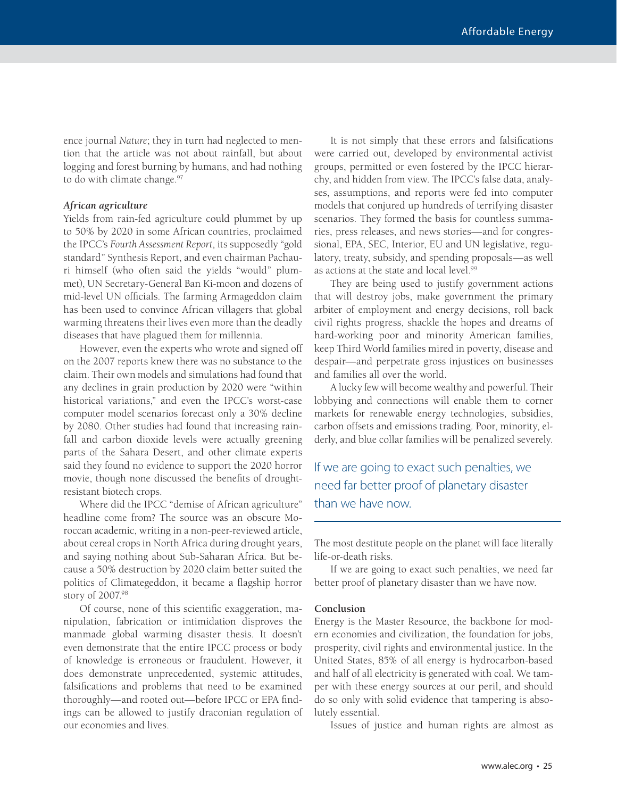ence journal *Nature*; they in turn had neglected to mention that the article was not about rainfall, but about logging and forest burning by humans, and had nothing to do with climate change.<sup>97</sup>

#### *African agriculture*

Yields from rain-fed agriculture could plummet by up to 50% by 2020 in some African countries, proclaimed the IPCC's *Fourth Assessment Report*, its supposedly "gold standard" Synthesis Report, and even chairman Pachauri himself (who often said the yields "would" plummet), UN Secretary-General Ban Ki-moon and dozens of mid-level UN officials. The farming Armageddon claim has been used to convince African villagers that global warming threatens their lives even more than the deadly diseases that have plagued them for millennia.

However, even the experts who wrote and signed off on the 2007 reports knew there was no substance to the claim. Their own models and simulations had found that any declines in grain production by 2020 were "within historical variations," and even the IPCC's worst-case computer model scenarios forecast only a 30% decline by 2080. Other studies had found that increasing rainfall and carbon dioxide levels were actually greening parts of the Sahara Desert, and other climate experts said they found no evidence to support the 2020 horror movie, though none discussed the benefits of droughtresistant biotech crops.

Where did the IPCC "demise of African agriculture" headline come from? The source was an obscure Moroccan academic, writing in a non-peer-reviewed article, about cereal crops in North Africa during drought years, and saying nothing about Sub-Saharan Africa. But because a 50% destruction by 2020 claim better suited the politics of Climategeddon, it became a flagship horror story of 2007.98

Of course, none of this scientific exaggeration, manipulation, fabrication or intimidation disproves the manmade global warming disaster thesis. It doesn't even demonstrate that the entire IPCC process or body of knowledge is erroneous or fraudulent. However, it does demonstrate unprecedented, systemic attitudes, falsifications and problems that need to be examined thoroughly—and rooted out—before IPCC or EPA findings can be allowed to justify draconian regulation of our economies and lives.

It is not simply that these errors and falsifications were carried out, developed by environmental activist groups, permitted or even fostered by the IPCC hierarchy, and hidden from view. The IPCC's false data, analyses, assumptions, and reports were fed into computer models that conjured up hundreds of terrifying disaster scenarios. They formed the basis for countless summaries, press releases, and news stories—and for congressional, EPA, SEC, Interior, EU and UN legislative, regulatory, treaty, subsidy, and spending proposals—as well as actions at the state and local level.<sup>99</sup>

They are being used to justify government actions that will destroy jobs, make government the primary arbiter of employment and energy decisions, roll back civil rights progress, shackle the hopes and dreams of hard-working poor and minority American families, keep Third World families mired in poverty, disease and despair—and perpetrate gross injustices on businesses and families all over the world.

A lucky few will become wealthy and powerful. Their lobbying and connections will enable them to corner markets for renewable energy technologies, subsidies, carbon offsets and emissions trading. Poor, minority, elderly, and blue collar families will be penalized severely.

If we are going to exact such penalties, we need far better proof of planetary disaster than we have now.

The most destitute people on the planet will face literally life-or-death risks.

If we are going to exact such penalties, we need far better proof of planetary disaster than we have now.

#### **Conclusion**

Energy is the Master Resource, the backbone for modern economies and civilization, the foundation for jobs, prosperity, civil rights and environmental justice. In the United States, 85% of all energy is hydrocarbon-based and half of all electricity is generated with coal. We tamper with these energy sources at our peril, and should do so only with solid evidence that tampering is absolutely essential.

Issues of justice and human rights are almost as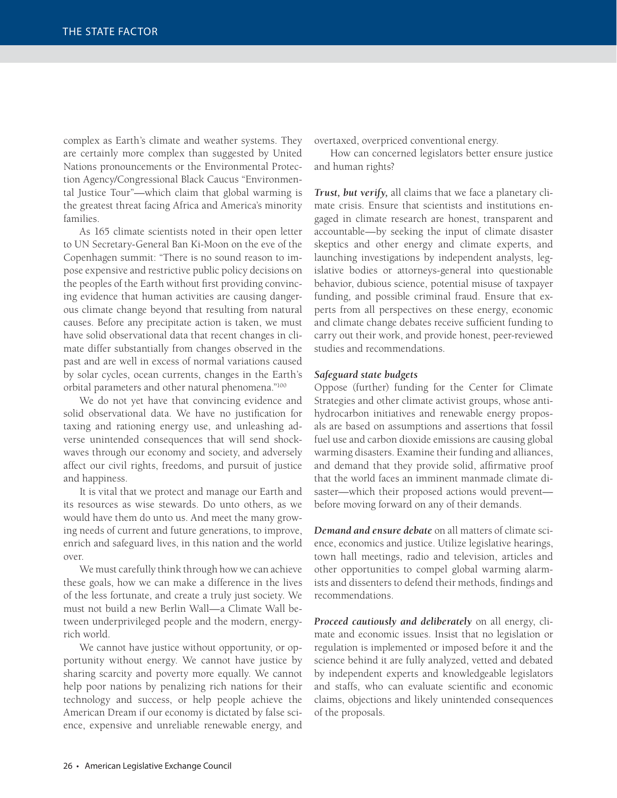complex as Earth's climate and weather systems. They are certainly more complex than suggested by United Nations pronouncements or the Environmental Protection Agency/Congressional Black Caucus "Environmental Justice Tour"—which claim that global warming is the greatest threat facing Africa and America's minority families.

As 165 climate scientists noted in their open letter to UN Secretary-General Ban Ki-Moon on the eve of the Copenhagen summit: "There is no sound reason to impose expensive and restrictive public policy decisions on the peoples of the Earth without first providing convincing evidence that human activities are causing dangerous climate change beyond that resulting from natural causes. Before any precipitate action is taken, we must have solid observational data that recent changes in climate differ substantially from changes observed in the past and are well in excess of normal variations caused by solar cycles, ocean currents, changes in the Earth's orbital parameters and other natural phenomena."100

We do not yet have that convincing evidence and solid observational data. We have no justification for taxing and rationing energy use, and unleashing adverse unintended consequences that will send shockwaves through our economy and society, and adversely affect our civil rights, freedoms, and pursuit of justice and happiness.

It is vital that we protect and manage our Earth and its resources as wise stewards. Do unto others, as we would have them do unto us. And meet the many growing needs of current and future generations, to improve, enrich and safeguard lives, in this nation and the world over.

We must carefully think through how we can achieve these goals, how we can make a difference in the lives of the less fortunate, and create a truly just society. We must not build a new Berlin Wall—a Climate Wall between underprivileged people and the modern, energyrich world.

We cannot have justice without opportunity, or opportunity without energy. We cannot have justice by sharing scarcity and poverty more equally. We cannot help poor nations by penalizing rich nations for their technology and success, or help people achieve the American Dream if our economy is dictated by false science, expensive and unreliable renewable energy, and

overtaxed, overpriced conventional energy.

How can concerned legislators better ensure justice and human rights?

*Trust, but verify,* all claims that we face a planetary climate crisis. Ensure that scientists and institutions engaged in climate research are honest, transparent and accountable—by seeking the input of climate disaster skeptics and other energy and climate experts, and launching investigations by independent analysts, legislative bodies or attorneys-general into questionable behavior, dubious science, potential misuse of taxpayer funding, and possible criminal fraud. Ensure that experts from all perspectives on these energy, economic and climate change debates receive sufficient funding to carry out their work, and provide honest, peer-reviewed studies and recommendations.

#### *Safeguard state budgets*

Oppose (further) funding for the Center for Climate Strategies and other climate activist groups, whose antihydrocarbon initiatives and renewable energy proposals are based on assumptions and assertions that fossil fuel use and carbon dioxide emissions are causing global warming disasters. Examine their funding and alliances, and demand that they provide solid, affirmative proof that the world faces an imminent manmade climate disaster—which their proposed actions would prevent before moving forward on any of their demands.

*Demand and ensure debate* on all matters of climate science, economics and justice. Utilize legislative hearings, town hall meetings, radio and television, articles and other opportunities to compel global warming alarmists and dissenters to defend their methods, findings and recommendations.

*Proceed cautiously and deliberately* on all energy, climate and economic issues. Insist that no legislation or regulation is implemented or imposed before it and the science behind it are fully analyzed, vetted and debated by independent experts and knowledgeable legislators and staffs, who can evaluate scientific and economic claims, objections and likely unintended consequences of the proposals.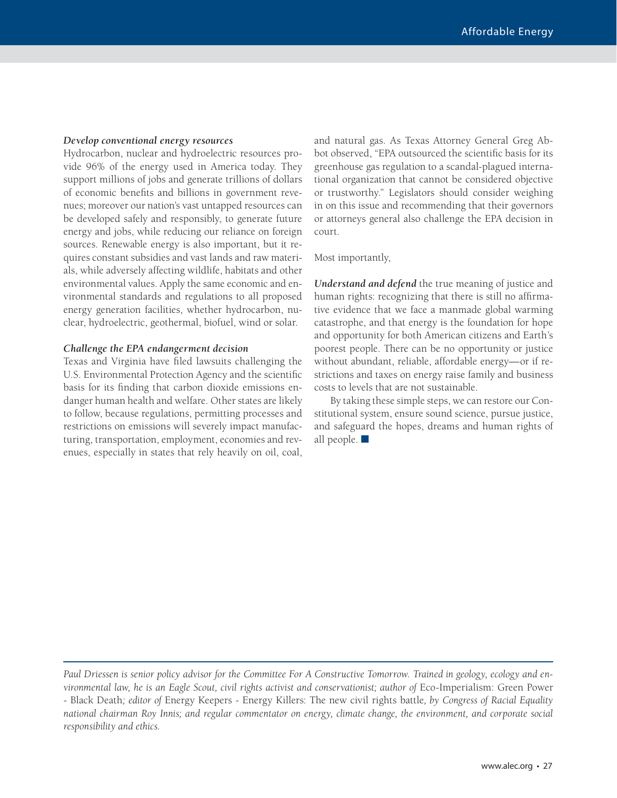#### *Develop conventional energy resources*

Hydrocarbon, nuclear and hydroelectric resources provide 96% of the energy used in America today. They support millions of jobs and generate trillions of dollars of economic benefits and billions in government revenues; moreover our nation's vast untapped resources can be developed safely and responsibly, to generate future energy and jobs, while reducing our reliance on foreign sources. Renewable energy is also important, but it requires constant subsidies and vast lands and raw materials, while adversely affecting wildlife, habitats and other environmental values. Apply the same economic and environmental standards and regulations to all proposed energy generation facilities, whether hydrocarbon, nuclear, hydroelectric, geothermal, biofuel, wind or solar.

#### *Challenge the EPA endangerment decision*

Texas and Virginia have filed lawsuits challenging the U.S. Environmental Protection Agency and the scientific basis for its finding that carbon dioxide emissions endanger human health and welfare. Other states are likely to follow, because regulations, permitting processes and restrictions on emissions will severely impact manufacturing, transportation, employment, economies and revenues, especially in states that rely heavily on oil, coal,

and natural gas. As Texas Attorney General Greg Abbot observed, "EPA outsourced the scientific basis for its greenhouse gas regulation to a scandal-plagued international organization that cannot be considered objective or trustworthy." Legislators should consider weighing in on this issue and recommending that their governors or attorneys general also challenge the EPA decision in court.

Most importantly,

*Understand and defend* the true meaning of justice and human rights: recognizing that there is still no affirmative evidence that we face a manmade global warming catastrophe, and that energy is the foundation for hope and opportunity for both American citizens and Earth's poorest people. There can be no opportunity or justice without abundant, reliable, affordable energy—or if restrictions and taxes on energy raise family and business costs to levels that are not sustainable.

By taking these simple steps, we can restore our Constitutional system, ensure sound science, pursue justice, and safeguard the hopes, dreams and human rights of all people.  $\blacksquare$ 

*Paul Driessen is senior policy advisor for the Committee For A Constructive Tomorrow. Trained in geology, ecology and environmental law, he is an Eagle Scout, civil rights activist and conservationist; author of* Eco-Imperialism: Green Power - Black Death*; editor of* Energy Keepers - Energy Killers: The new civil rights battle*, by Congress of Racial Equality national chairman Roy Innis; and regular commentator on energy, climate change, the environment, and corporate social responsibility and ethics.*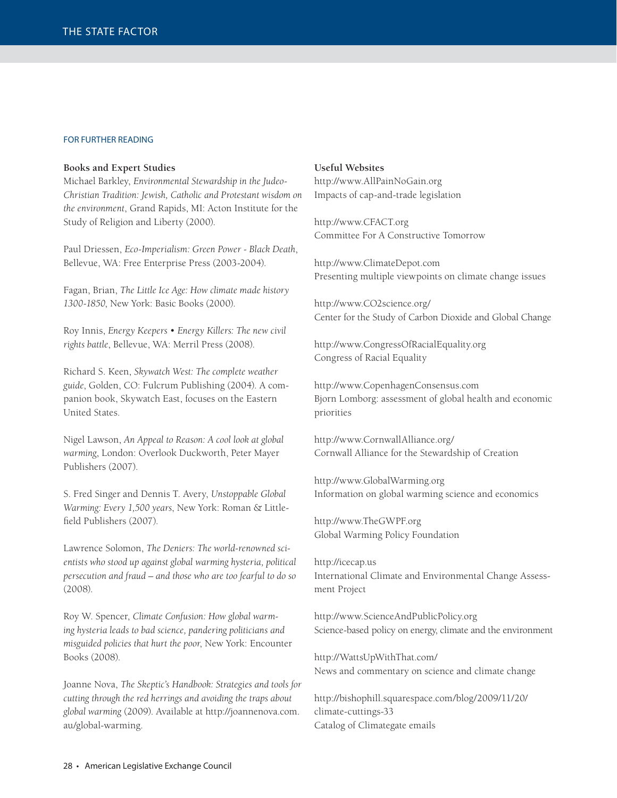#### FOR FURTHER READING

#### **Books and Expert Studies**

Michael Barkley, *Environmental Stewardship in the Judeo-Christian Tradition: Jewish, Catholic and Protestant wisdom on the environment*, Grand Rapids, MI: Acton Institute for the Study of Religion and Liberty (2000).

Paul Driessen, *Eco-Imperialism: Green Power - Black Death*, Bellevue, WA: Free Enterprise Press (2003-2004).

Fagan, Brian, *The Little Ice Age: How climate made history 1300-1850*, New York: Basic Books (2000).

Roy Innis, *Energy Keepers • Energy Killers: The new civil rights battle*, Bellevue, WA: Merril Press (2008).

Richard S. Keen, *Skywatch West: The complete weather guide*, Golden, CO: Fulcrum Publishing (2004). A companion book, Skywatch East, focuses on the Eastern United States.

Nigel Lawson, *An Appeal to Reason: A cool look at global warming*, London: Overlook Duckworth, Peter Mayer Publishers (2007).

S. Fred Singer and Dennis T. Avery, *Unstoppable Global Warming: Every 1,500 years*, New York: Roman & Littlefield Publishers (2007).

Lawrence Solomon, *The Deniers: The world-renowned scientists who stood up against global warming hysteria, political persecution and fraud – and those who are too fearful to do so* (2008).

Roy W. Spencer, *Climate Confusion: How global warming hysteria leads to bad science, pandering politicians and misguided policies that hurt the poor*, New York: Encounter Books (2008).

Joanne Nova, *The Skeptic's Handbook: Strategies and tools for cutting through the red herrings and avoiding the traps about global warming* (2009). Available at http://joannenova.com. au/global-warming.

#### **Useful Websites**

http://www.AllPainNoGain.org Impacts of cap-and-trade legislation

http://www.CFACT.org Committee For A Constructive Tomorrow

http://www.ClimateDepot.com Presenting multiple viewpoints on climate change issues

http://www.CO2science.org/ Center for the Study of Carbon Dioxide and Global Change

http://www.CongressOfRacialEquality.org Congress of Racial Equality

http://www.CopenhagenConsensus.com Bjorn Lomborg: assessment of global health and economic priorities

http://www.CornwallAlliance.org/ Cornwall Alliance for the Stewardship of Creation

http://www.GlobalWarming.org Information on global warming science and economics

http://www.TheGWPF.org Global Warming Policy Foundation

http://icecap.us International Climate and Environmental Change Assessment Project

http://www.ScienceAndPublicPolicy.org Science-based policy on energy, climate and the environment

http://WattsUpWithThat.com/ News and commentary on science and climate change

http://bishophill.squarespace.com/blog/2009/11/20/ climate-cuttings-33 Catalog of Climategate emails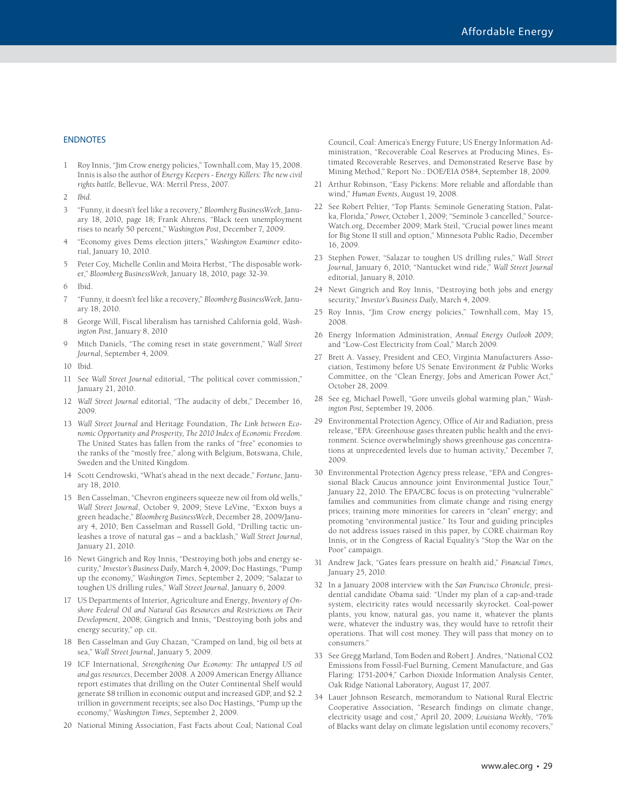#### **ENDNOTES**

1 Roy Innis, "Jim Crow energy policies," Townhall.com, May 15, 2008. Innis is also the author of *Energy Keepers - Energy Killers: The new civil rights battle*, Bellevue, WA: Merril Press, 2007.

2 *Ibid.* 

- 3 "Funny, it doesn't feel like a recovery," *Bloomberg BusinessWeek*, January 18, 2010, page 18; Frank Ahrens, "Black teen unemployment rises to nearly 50 percent," *Washington Post*, December 7, 2009.
- 4 "Economy gives Dems election jitters," *Washington Examiner* editorial, January 10, 2010.
- 5 Peter Coy, Michelle Conlin and Moira Herbst, "The disposable worker," *Bloomberg BusinessWeek*, January 18, 2010, page 32-39.
- 6 Ibid.
- 7 "Funny, it doesn't feel like a recovery," *Bloomberg BusinessWeek,* January 18, 2010.
- 8 George Will, Fiscal liberalism has tarnished California gold, *Washington Post*, January 8, 2010
- 9 Mitch Daniels, "The coming reset in state government," *Wall Street Journal*, September 4, 2009.
- 10 Ibid.
- 11 See *Wall Street Journal* editorial, "The political cover commission," January 21, 2010.
- 12 *Wall Street Journal* editorial, "The audacity of debt," December 16, 2009.
- 13 *Wall Street Journal* and Heritage Foundation, *The Link between Economic Opportunity and Prosperity, The 2010 Index of Economic Freedom*. The United States has fallen from the ranks of "free" economies to the ranks of the "mostly free," along with Belgium, Botswana, Chile, Sweden and the United Kingdom.
- 14 Scott Cendrowski, "What's ahead in the next decade," *Fortune*, January 18, 2010.
- 15 Ben Casselman, "Chevron engineers squeeze new oil from old wells," *Wall Street Journal*, October 9, 2009; Steve LeVine, "Exxon buys a green headache," *Bloomberg BusinessWeek*, December 28, 2009/January 4, 2010; Ben Casselman and Russell Gold, "Drilling tactic unleashes a trove of natural gas – and a backlash," *Wall Street Journal*, January 21, 2010.
- 16 Newt Gingrich and Roy Innis, "Destroying both jobs and energy security," *Investor's Business Daily*, March 4, 2009; Doc Hastings, "Pump up the economy," *Washington Times*, September 2, 2009; "Salazar to toughen US drilling rules," *Wall Street Journal*, January 6, 2009.
- 17 US Departments of Interior, Agriculture and Energy, *Inventory of Onshore Federal Oil and Natural Gas Resources and Restrictions on Their Development*, 2008; Gingrich and Innis, "Destroying both jobs and energy security," op. cit.
- 18 Ben Casselman and Guy Chazan, "Cramped on land, big oil bets at sea," *Wall Street Journal*, January 5, 2009.
- 19 ICF International, *Strengthening Our Economy: The untapped US oil and gas resources*, December 2008. A 2009 American Energy Alliance report estimates that drilling on the Outer Continental Shelf would generate \$8 trillion in economic output and increased GDP, and \$2.2 trillion in government receipts; see also Doc Hastings, "Pump up the economy," *Washington Times*, September 2, 2009.
- 20 National Mining Association, Fast Facts about Coal; National Coal

Council, Coal: America's Energy Future; US Energy Information Administration, "Recoverable Coal Reserves at Producing Mines, Estimated Recoverable Reserves, and Demonstrated Reserve Base by Mining Method," Report No.: DOE/EIA 0584, September 18, 2009.

- 21 Arthur Robinson, "Easy Pickens: More reliable and affordable than wind," *Human Events*, August 19, 2008.
- 22 See Robert Peltier, "Top Plants: Seminole Generating Station, Palatka, Florida," *Power,* October 1, 2009; "Seminole 3 cancelled," Source-Watch.org, December 2009; Mark Steil, "Crucial power lines meant for Big Stone II still and option," Minnesota Public Radio, December 16, 2009.
- 23 Stephen Power, "Salazar to toughen US drilling rules," *Wall Street Journal*, January 6, 2010; "Nantucket wind ride," *Wall Street Journal*  editorial, January 8, 2010.
- 24 Newt Gingrich and Roy Innis, "Destroying both jobs and energy security," *Investor's Business Daily*, March 4, 2009.
- 25 Roy Innis, "Jim Crow energy policies," Townhall.com, May 15, 2008.
- 26 Energy Information Administration, *Annual Energy Outlook 2009*; and "Low-Cost Electricity from Coal," March 2009.
- 27 Brett A. Vassey, President and CEO, Virginia Manufacturers Association, Testimony before US Senate Environment & Public Works Committee, on the "Clean Energy, Jobs and American Power Act," October 28, 2009.
- 28 See eg, Michael Powell, "Gore unveils global warming plan," *Washington Post,* September 19, 2006.
- 29 Environmental Protection Agency, Office of Air and Radiation, press release, "EPA: Greenhouse gases threaten public health and the environment. Science overwhelmingly shows greenhouse gas concentrations at unprecedented levels due to human activity," December 7, 2009.
- 30 Environmental Protection Agency press release, "EPA and Congressional Black Caucus announce joint Environmental Justice Tour," January 22, 2010. The EPA/CBC focus is on protecting "vulnerable" families and communities from climate change and rising energy prices; training more minorities for careers in "clean" energy; and promoting "environmental justice." Its Tour and guiding principles do not address issues raised in this paper, by CORE chairman Roy Innis, or in the Congress of Racial Equality's "Stop the War on the Poor" campaign.
- 31 Andrew Jack, "Gates fears pressure on health aid," *Financial Times*, January 25, 2010.
- 32 In a January 2008 interview with the *San Francisco Chronicle*, presidential candidate Obama said: "Under my plan of a cap-and-trade system, electricity rates would necessarily skyrocket. Coal-power plants, you know, natural gas, you name it, whatever the plants were, whatever the industry was, they would have to retrofit their operations. That will cost money. They will pass that money on to consumers."
- 33 See Gregg Marland, Tom Boden and Robert J. Andres, "National CO2 Emissions from Fossil-Fuel Burning, Cement Manufacture, and Gas Flaring: 1751-2004," Carbon Dioxide Information Analysis Center, Oak Ridge National Laboratory, August 17, 2007.
- 34 Lauer Johnson Research, memorandum to National Rural Electric Cooperative Association, "Research findings on climate change, electricity usage and cost," April 20, 2009; *Louisiana Weekly*, "76% of Blacks want delay on climate legislation until economy recovers,"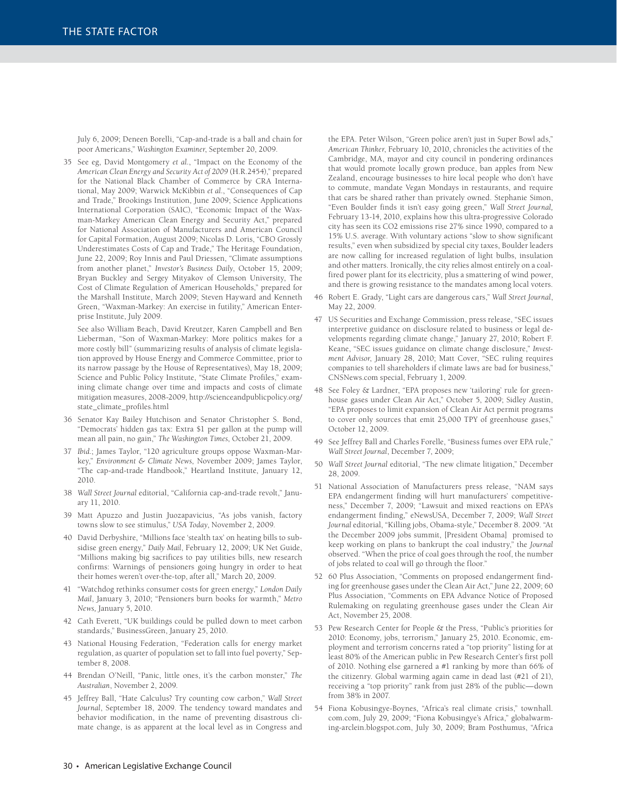July 6, 2009; Deneen Borelli, "Cap-and-trade is a ball and chain for poor Americans," *Washington Examiner*, September 20, 2009.

35 See eg, David Montgomery *et al.*, "Impact on the Economy of the *American Clean Energy and Security Act of 2009* (H.R.2454)," prepared for the National Black Chamber of Commerce by CRA International, May 2009; Warwick McKibbin *et al*., "Consequences of Cap and Trade," Brookings Institution, June 2009; Science Applications International Corporation (SAIC), "Economic Impact of the Waxman-Markey American Clean Energy and Security Act," prepared for National Association of Manufacturers and American Council for Capital Formation, August 2009; Nicolas D. Loris, "CBO Grossly Underestimates Costs of Cap and Trade," The Heritage Foundation, June 22, 2009; Roy Innis and Paul Driessen, "Climate assumptions from another planet," *Investor's Business Daily*, October 15, 2009; Bryan Buckley and Sergey Mityakov of Clemson University, The Cost of Climate Regulation of American Households," prepared for the Marshall Institute, March 2009; Steven Hayward and Kenneth Green, "Waxman-Markey: An exercise in futility," American Enterprise Institute, July 2009.

 See also William Beach, David Kreutzer, Karen Campbell and Ben Lieberman, "Son of Waxman-Markey: More politics makes for a more costly bill" (summarizing results of analysis of climate legislation approved by House Energy and Commerce Committee, prior to its narrow passage by the House of Representatives), May 18, 2009; Science and Public Policy Institute, "State Climate Profiles," examining climate change over time and impacts and costs of climate mitigation measures, 2008-2009, http://scienceandpublicpolicy.org/ state\_climate\_profiles.html

- 36 Senator Kay Bailey Hutchison and Senator Christopher S. Bond, "Democrats' hidden gas tax: Extra \$1 per gallon at the pump will mean all pain, no gain," *The Washington Times*, October 21, 2009.
- 37 *Ibid.*; James Taylor, "120 agriculture groups oppose Waxman-Markey," *Environment & Climate News*, November 2009; James Taylor, "The cap-and-trade Handbook," Heartland Institute, January 12, 2010.
- 38 *Wall Street Journal* editorial, "California cap-and-trade revolt," January 11, 2010.
- 39 Matt Apuzzo and Justin Juozapavicius, "As jobs vanish, factory towns slow to see stimulus," *USA Today*, November 2, 2009.
- 40 David Derbyshire, "Millions face 'stealth tax' on heating bills to subsidise green energy," *Daily Mail*, February 12, 2009; UK Net Guide, "Millions making big sacrifices to pay utilities bills, new research confirms: Warnings of pensioners going hungry in order to heat their homes weren't over-the-top, after all," March 20, 2009.
- 41 "Watchdog rethinks consumer costs for green energy," *London Daily Mail*, January 3, 2010; "Pensioners burn books for warmth," *Metro News,* January 5, 2010.
- 42 Cath Everett, "UK buildings could be pulled down to meet carbon standards," BusinessGreen, January 25, 2010.
- 43 National Housing Federation, "Federation calls for energy market regulation, as quarter of population set to fall into fuel poverty," September 8, 2008.
- 44 Brendan O'Neill, "Panic, little ones, it's the carbon monster," *The Australian*, November 2, 2009.
- 45 Jeffrey Ball, "Hate Calculus? Try counting cow carbon," *Wall Street Journal*, September 18, 2009. The tendency toward mandates and behavior modification, in the name of preventing disastrous climate change, is as apparent at the local level as in Congress and

the EPA. Peter Wilson, "Green police aren't just in Super Bowl ads," *American Thinker*, February 10, 2010, chronicles the activities of the Cambridge, MA, mayor and city council in pondering ordinances that would promote locally grown produce, ban apples from New Zealand, encourage businesses to hire local people who don't have to commute, mandate Vegan Mondays in restaurants, and require that cars be shared rather than privately owned. Stephanie Simon, "Even Boulder finds it isn't easy going green," *Wall Street Journal,*  February 13-14, 2010, explains how this ultra-progressive Colorado city has seen its CO2 emissions rise 27% since 1990, compared to a 15% U.S. average. With voluntary actions "slow to show significant results," even when subsidized by special city taxes, Boulder leaders are now calling for increased regulation of light bulbs, insulation and other matters. Ironically, the city relies almost entirely on a coalfired power plant for its electricity, plus a smattering of wind power, and there is growing resistance to the mandates among local voters.

- 46 Robert E. Grady, "Light cars are dangerous cars," *Wall Street Journal*, May 22, 2009.
- 47 US Securities and Exchange Commission, press release, "SEC issues interpretive guidance on disclosure related to business or legal developments regarding climate change," January 27, 2010; Robert F. Keane, "SEC issues guidance on climate change disclosure," *Investment Advisor*, January 28, 2010; Matt Cover, "SEC ruling requires companies to tell shareholders if climate laws are bad for business," CNSNews.com special, February 1, 2009.
- 48 See Foley & Lardner, "EPA proposes new 'tailoring' rule for greenhouse gases under Clean Air Act," October 5, 2009; Sidley Austin, "EPA proposes to limit expansion of Clean Air Act permit programs to cover only sources that emit 25,000 TPY of greenhouse gases," October 12, 2009.
- 49 See Jeffrey Ball and Charles Forelle, "Business fumes over EPA rule," *Wall Street Journal*, December 7, 2009;
- 50 *Wall Street Journal* editorial, "The new climate litigation," December 28, 2009.
- 51 National Association of Manufacturers press release, "NAM says EPA endangerment finding will hurt manufacturers' competitiveness," December 7, 2009; "Lawsuit and mixed reactions on EPA's endangerment finding," eNewsUSA, December 7, 2009; *Wall Street Journal* editorial, "Killing jobs, Obama-style," December 8. 2009. "At the December 2009 jobs summit, [President Obama] promised to keep working on plans to bankrupt the coal industry," the *Journal*  observed. "When the price of coal goes through the roof, the number of jobs related to coal will go through the floor."
- 52 60 Plus Association, "Comments on proposed endangerment finding for greenhouse gases under the Clean Air Act," June 22, 2009; 60 Plus Association, "Comments on EPA Advance Notice of Proposed Rulemaking on regulating greenhouse gases under the Clean Air Act, November 25, 2008.
- 53 Pew Research Center for People & the Press, "Public's priorities for 2010: Economy, jobs, terrorism," January 25, 2010. Economic, employment and terrorism concerns rated a "top priority" listing for at least 80% of the American public in Pew Research Center's first poll of 2010. Nothing else garnered a #1 ranking by more than 66% of the citizenry. Global warming again came in dead last (#21 of 21), receiving a "top priority" rank from just 28% of the public—down from 38% in 2007.
- 54 Fiona Kobusingye-Boynes, "Africa's real climate crisis," townhall. com.com, July 29, 2009; "Fiona Kobusingye's Africa," globalwarming-arclein.blogspot.com, July 30, 2009; Bram Posthumus, "Africa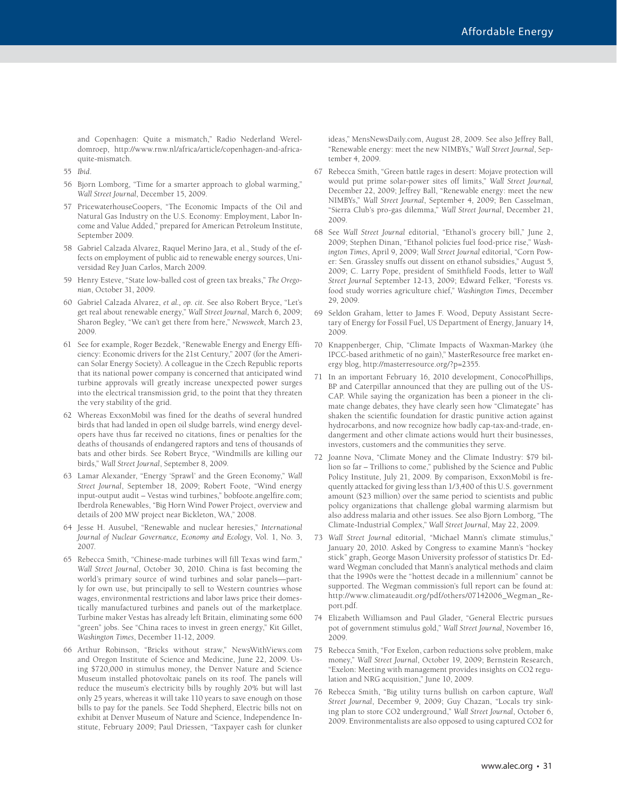and Copenhagen: Quite a mismatch," Radio Nederland Wereldomroep, http://www.rnw.nl/africa/article/copenhagen-and-africaquite-mismatch.

- 55 *Ibid*.
- 56 Bjorn Lomborg, "Time for a smarter approach to global warming," *Wall Street Journal*, December 15, 2009.
- 57 PricewaterhouseCoopers, "The Economic Impacts of the Oil and Natural Gas Industry on the U.S. Economy: Employment, Labor Income and Value Added," prepared for American Petroleum Institute, September 2009.
- 58 Gabriel Calzada Alvarez, Raquel Merino Jara, et al., Study of the effects on employment of public aid to renewable energy sources, Universidad Rey Juan Carlos, March 2009.
- 59 Henry Esteve, "State low-balled cost of green tax breaks," *The Oregonian*, October 31, 2009.
- 60 Gabriel Calzada Alvarez, *et al., op. cit*. See also Robert Bryce, "Let's get real about renewable energy," *Wall Street Journal*, March 6, 2009; Sharon Begley, "We can't get there from here," *Newsweek*, March 23, 2009.
- 61 See for example, Roger Bezdek, "Renewable Energy and Energy Efficiency: Economic drivers for the 21st Century," 2007 (for the American Solar Energy Society). A colleague in the Czech Republic reports that its national power company is concerned that anticipated wind turbine approvals will greatly increase unexpected power surges into the electrical transmission grid, to the point that they threaten the very stability of the grid.
- 62 Whereas ExxonMobil was fined for the deaths of several hundred birds that had landed in open oil sludge barrels, wind energy developers have thus far received no citations, fines or penalties for the deaths of thousands of endangered raptors and tens of thousands of bats and other birds. See Robert Bryce, "Windmills are killing our birds," *Wall Street Journal*, September 8, 2009.
- 63 Lamar Alexander, "Energy 'Sprawl' and the Green Economy," *Wall Street Journal*, September 18, 2009; Robert Foote, "Wind energy input-output audit – Vestas wind turbines," bobfoote.angelfire.com; Iberdrola Renewables, "Big Horn Wind Power Project, overview and details of 200 MW project near Bickleton, WA," 2008.
- 64 Jesse H. Ausubel, "Renewable and nuclear heresies," *International Journal of Nuclear Governance, Economy and Ecology*, Vol. 1, No. 3, 2007.
- 65 Rebecca Smith, "Chinese-made turbines will fill Texas wind farm," *Wall Street Journal*, October 30, 2010. China is fast becoming the world's primary source of wind turbines and solar panels—partly for own use, but principally to sell to Western countries whose wages, environmental restrictions and labor laws price their domestically manufactured turbines and panels out of the marketplace. Turbine maker Vestas has already left Britain, eliminating some 600 "green" jobs. See "China races to invest in green energy," Kit Gillet, *Washington Times*, December 11-12, 2009.
- 66 Arthur Robinson, "Bricks without straw," NewsWithViews.com and Oregon Institute of Science and Medicine, June 22, 2009. Using \$720,000 in stimulus money, the Denver Nature and Science Museum installed photovoltaic panels on its roof. The panels will reduce the museum's electricity bills by roughly 20% but will last only 25 years, whereas it will take 110 years to save enough on those bills to pay for the panels. See Todd Shepherd, Electric bills not on exhibit at Denver Museum of Nature and Science, Independence Institute, February 2009; Paul Driessen, "Taxpayer cash for clunker

ideas," MensNewsDaily.com, August 28, 2009. See also Jeffrey Ball, "Renewable energy: meet the new NIMBYs," *Wall Street Journal*, September 4, 2009.

- 67 Rebecca Smith, "Green battle rages in desert: Mojave protection will would put prime solar-power sites off limits," *Wall Street Journal,*  December 22, 2009; Jeffrey Ball, "Renewable energy: meet the new NIMBYs," *Wall Street Journal*, September 4, 2009; Ben Casselman, "Sierra Club's pro-gas dilemma," *Wall Street Journal*, December 21, 2009.
- 68 See *Wall Street Journal* editorial, "Ethanol's grocery bill," June 2, 2009; Stephen Dinan, "Ethanol policies fuel food-price rise," *Washington Times*, April 9, 2009; *Wall Street Journal* editorial, "Corn Power: Sen. Grassley snuffs out dissent on ethanol subsidies," August 5, 2009; C. Larry Pope, president of Smithfield Foods, letter to *Wall Street Journal* September 12-13, 2009; Edward Felker, "Forests vs. food study worries agriculture chief," *Washington Times*, December 29, 2009.
- 69 Seldon Graham, letter to James F. Wood, Deputy Assistant Secretary of Energy for Fossil Fuel, US Department of Energy, January 14, 2009.
- 70 Knappenberger, Chip, "Climate Impacts of Waxman-Markey (the IPCC-based arithmetic of no gain)," MasterResource free market energy blog, http://masterresource.org/?p=2355.
- 71 In an important February 16, 2010 development, ConocoPhillips, BP and Caterpillar announced that they are pulling out of the US-CAP. While saying the organization has been a pioneer in the climate change debates, they have clearly seen how "Climategate" has shaken the scientific foundation for drastic punitive action against hydrocarbons, and now recognize how badly cap-tax-and-trade, endangerment and other climate actions would hurt their businesses, investors, customers and the communities they serve.
- 72 Joanne Nova, "Climate Money and the Climate Industry: \$79 billion so far – Trillions to come," published by the Science and Public Policy Institute, July 21, 2009. By comparison, ExxonMobil is frequently attacked for giving less than 1/3,400 of this U.S. government amount (\$23 million) over the same period to scientists and public policy organizations that challenge global warming alarmism but also address malaria and other issues. See also Bjorn Lomborg, "The Climate-Industrial Complex," *Wall Street Journal*, May 22, 2009.
- 73 *Wall Street Journal* editorial, "Michael Mann's climate stimulus," January 20, 2010. Asked by Congress to examine Mann's "hockey stick" graph, George Mason University professor of statistics Dr. Edward Wegman concluded that Mann's analytical methods and claim that the 1990s were the "hottest decade in a millennium" cannot be supported. The Wegman commission's full report can be found at: http://www.climateaudit.org/pdf/others/07142006\_Wegman\_Report.pdf.
- 74 Elizabeth Williamson and Paul Glader, "General Electric pursues pot of government stimulus gold," *Wall Street Journal*, November 16, 2009.
- 75 Rebecca Smith, "For Exelon, carbon reductions solve problem, make money," *Wall Street Journal*, October 19, 2009; Bernstein Research, "Exelon: Meeting with management provides insights on CO2 regulation and NRG acquisition," June 10, 2009.
- 76 Rebecca Smith, "Big utility turns bullish on carbon capture, *Wall Street Journal*, December 9, 2009; Guy Chazan, "Locals try sinking plan to store CO2 underground," *Wall Street Journal*, October 6, 2009. Environmentalists are also opposed to using captured CO2 for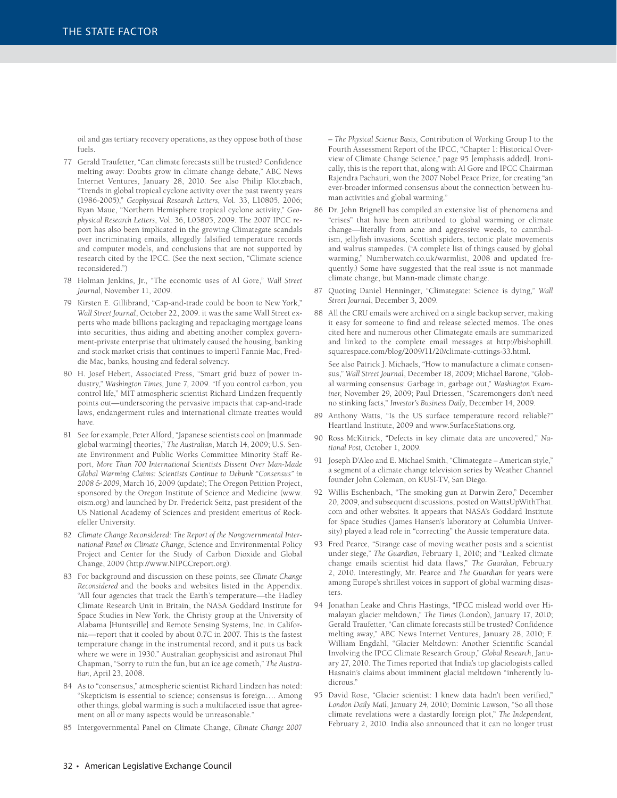oil and gas tertiary recovery operations, as they oppose both of those fuels.

- 77 Gerald Traufetter, "Can climate forecasts still be trusted? Confidence melting away: Doubts grow in climate change debate," ABC News Internet Ventures, January 28, 2010. See also Philip Klotzbach, "Trends in global tropical cyclone activity over the past twenty years (1986-2005)," *Geophysical Research Letters*, Vol. 33, L10805, 2006; Ryan Maue, "Northern Hemisphere tropical cyclone activity," *Geophysical Research Letters*, Vol. 36, L05805, 2009. The 2007 IPCC report has also been implicated in the growing Climategate scandals over incriminating emails, allegedly falsified temperature records and computer models, and conclusions that are not supported by research cited by the IPCC. (See the next section, "Climate science reconsidered.")
- 78 Holman Jenkins, Jr., "The economic uses of Al Gore," *Wall Street Journal*, November 11, 2009.
- 79 Kirsten E. Gillibrand, "Cap-and-trade could be boon to New York," *Wall Street Journal*, October 22, 2009. it was the same Wall Street experts who made billions packaging and repackaging mortgage loans into securities, thus aiding and abetting another complex government-private enterprise that ultimately caused the housing, banking and stock market crisis that continues to imperil Fannie Mac, Freddie Mac, banks, housing and federal solvency.
- 80 H. Josef Hebert, Associated Press, "Smart grid buzz of power industry," *Washington Times*, June 7, 2009. "If you control carbon, you control life," MIT atmospheric scientist Richard Lindzen frequently points out-underscoring the pervasive impacts that cap-and-trade laws, endangerment rules and international climate treaties would have.
- 81 See for example, Peter Alford, "Japanese scientists cool on [manmade global warming] theories," *The Australian*, March 14, 2009; U.S. Senate Environment and Public Works Committee Minority Staff Report, *More Than 700 International Scientists Dissent Over Man-Made Global Warming Claims: Scientists Continue to Debunk "Consensus" in 2008 & 2009*, March 16, 2009 (update); The Oregon Petition Project, sponsored by the Oregon Institute of Science and Medicine (www. oism.org) and launched by Dr. Frederick Seitz, past president of the US National Academy of Sciences and president emeritus of Rockefeller University.
- 82 *Climate Change Reconsidered: The Report of the Nongovernmental International Panel on Climate Change*, Science and Environmental Policy Project and Center for the Study of Carbon Dioxide and Global Change, 2009 (http://www.NIPCCreport.org).
- 83 For background and discussion on these points, see *Climate Change Reconsidered* and the books and websites listed in the Appendix. "All four agencies that track the Earth's temperature—the Hadley Climate Research Unit in Britain, the NASA Goddard Institute for Space Studies in New York, the Christy group at the University of Alabama [Huntsville] and Remote Sensing Systems, Inc. in California—report that it cooled by about 0.7C in 2007. This is the fastest temperature change in the instrumental record, and it puts us back where we were in 1930." Australian geophysicist and astronaut Phil Chapman, "Sorry to ruin the fun, but an ice age cometh," *The Australian*, April 23, 2008.
- 84 As to "consensus," atmospheric scientist Richard Lindzen has noted: "Skepticism is essential to science; consensus is foreign…. Among other things, global warming is such a multifaceted issue that agreement on all or many aspects would be unreasonable."
- 85 Intergovernmental Panel on Climate Change, *Climate Change 2007*

*– The Physical Science Basis*, Contribution of Working Group I to the Fourth Assessment Report of the IPCC, "Chapter 1: Historical Overview of Climate Change Science," page 95 [emphasis added]. Ironically, this is the report that, along with Al Gore and IPCC Chairman Rajendra Pachauri, won the 2007 Nobel Peace Prize, for creating "an ever-broader informed consensus about the connection between human activities and global warming."

- 86 Dr. John Brignell has compiled an extensive list of phenomena and "crises" that have been attributed to global warming or climate change—literally from acne and aggressive weeds, to cannibalism, jellyfish invasions, Scottish spiders, tectonic plate movements and walrus stampedes. ("A complete list of things caused by global warming," Numberwatch.co.uk/warmlist, 2008 and updated frequently.) Some have suggested that the real issue is not manmade climate change, but Mann-made climate change.
- 87 Quoting Daniel Henninger, "Climategate: Science is dying," *Wall Street Journal*, December 3, 2009.
- 88 All the CRU emails were archived on a single backup server, making it easy for someone to find and release selected memos. The ones cited here and numerous other Climategate emails are summarized and linked to the complete email messages at http://bishophill. squarespace.com/blog/2009/11/20/climate-cuttings-33.html.

 See also Patrick J. Michaels, "How to manufacture a climate consensus," *Wall Street Journal*, December 18, 2009; Michael Barone, "Global warming consensus: Garbage in, garbage out," *Washington Examiner*, November 29, 2009; Paul Driessen, "Scaremongers don't need no stinking facts," *Investor's Business Daily*, December 14, 2009.

- 89 Anthony Watts, "Is the US surface temperature record reliable?" Heartland Institute, 2009 and www.SurfaceStations.org.
- 90 Ross McKitrick, "Defects in key climate data are uncovered," *National Post,* October 1, 2009.
- 91 Joseph D'Aleo and E. Michael Smith, "Climategate American style," a segment of a climate change television series by Weather Channel founder John Coleman, on KUSI-TV, San Diego.
- 92 Willis Eschenbach, "The smoking gun at Darwin Zero," December 20, 2009, and subsequent discussions, posted on WattsUpWithThat. com and other websites. It appears that NASA's Goddard Institute for Space Studies (James Hansen's laboratory at Columbia University) played a lead role in "correcting" the Aussie temperature data.
- 93 Fred Pearce, "Strange case of moving weather posts and a scientist under siege," *The Guardian*, February 1, 2010; and "Leaked climate change emails scientist hid data flaws," *The Guardian*, February 2, 2010. Interestingly, Mr. Pearce and *The Guardian* for years were among Europe's shrillest voices in support of global warming disasters.
- 94 Jonathan Leake and Chris Hastings, "IPCC mislead world over Himalayan glacier meltdown," *The Times* (London), January 17, 2010; Gerald Traufetter, "Can climate forecasts still be trusted? Confidence melting away," ABC News Internet Ventures, January 28, 2010; F. William Engdahl, "Glacier Meltdown: Another Scientific Scandal Involving the IPCC Climate Research Group," *Global Research*, January 27, 2010. The Times reported that India's top glaciologists called Hasnain's claims about imminent glacial meltdown "inherently ludicrous."
- 95 David Rose, "Glacier scientist: I knew data hadn't been verified," *London Daily Mail*, January 24, 2010; Dominic Lawson, "So all those climate revelations were a dastardly foreign plot," *The Independent,*  February 2, 2010. India also announced that it can no longer trust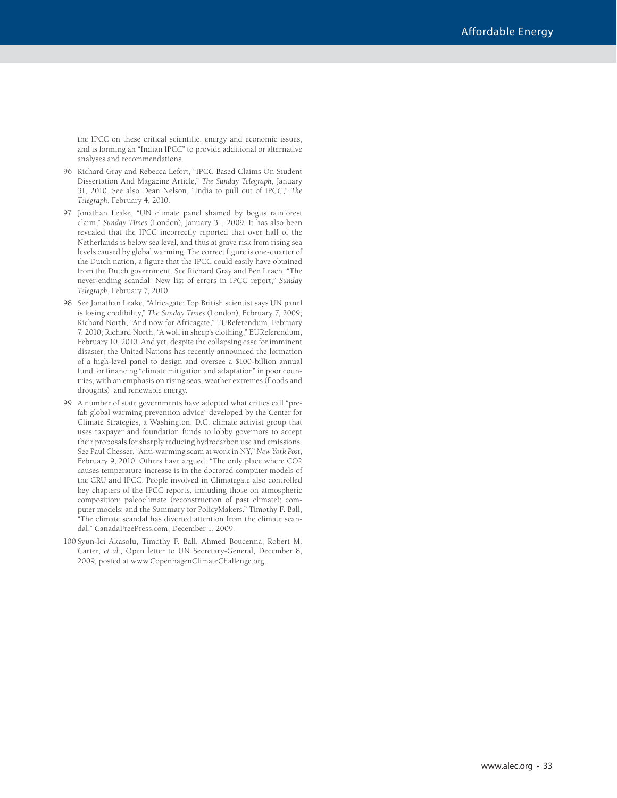the IPCC on these critical scientific, energy and economic issues, and is forming an "Indian IPCC" to provide additional or alternative analyses and recommendations.

- 96 Richard Gray and Rebecca Lefort, "IPCC Based Claims On Student Dissertation And Magazine Article," *The Sunday Telegraph*, January 31, 2010. See also Dean Nelson, "India to pull out of IPCC," *The Telegraph*, February 4, 2010.
- 97 Jonathan Leake, "UN climate panel shamed by bogus rainforest claim," *Sunday Times* (London), January 31, 2009. It has also been revealed that the IPCC incorrectly reported that over half of the Netherlands is below sea level, and thus at grave risk from rising sea levels caused by global warming. The correct figure is one-quarter of the Dutch nation, a figure that the IPCC could easily have obtained from the Dutch government. See Richard Gray and Ben Leach, "The never-ending scandal: New list of errors in IPCC report," *Sunday Telegraph*, February 7, 2010.
- 98 See Jonathan Leake, "Africagate: Top British scientist says UN panel is losing credibility," *The Sunday Times* (London), February 7, 2009; Richard North, "And now for Africagate," EUReferendum, February 7, 2010; Richard North, "A wolf in sheep's clothing," EUReferendum, February 10, 2010. And yet, despite the collapsing case for imminent disaster, the United Nations has recently announced the formation of a high-level panel to design and oversee a \$100-billion annual fund for financing "climate mitigation and adaptation" in poor countries, with an emphasis on rising seas, weather extremes (floods and droughts) and renewable energy.
- 99 A number of state governments have adopted what critics call "prefab global warming prevention advice" developed by the Center for Climate Strategies, a Washington, D.C. climate activist group that uses taxpayer and foundation funds to lobby governors to accept their proposals for sharply reducing hydrocarbon use and emissions. See Paul Chesser, "Anti-warming scam at work in NY," *New York Post*, February 9, 2010. Others have argued: "The only place where CO2 causes temperature increase is in the doctored computer models of the CRU and IPCC. People involved in Climategate also controlled key chapters of the IPCC reports, including those on atmospheric composition; paleoclimate (reconstruction of past climate); computer models; and the Summary for PolicyMakers." Timothy F. Ball, "The climate scandal has diverted attention from the climate scandal," CanadaFreePress.com, December 1, 2009.
- 100 Syun-Ici Akasofu, Timothy F. Ball, Ahmed Boucenna, Robert M. Carter, *et al*., Open letter to UN Secretary-General, December 8, 2009, posted at www.CopenhagenClimateChallenge.org.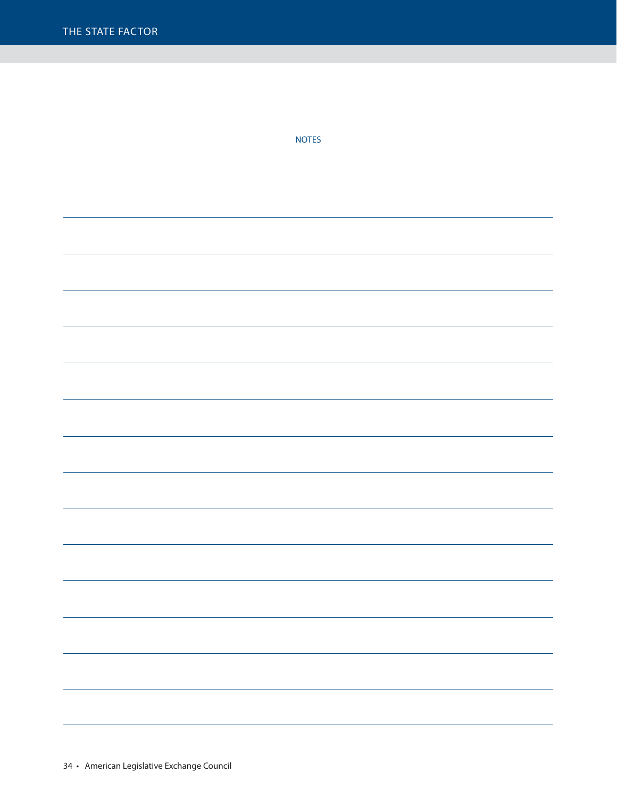NOTES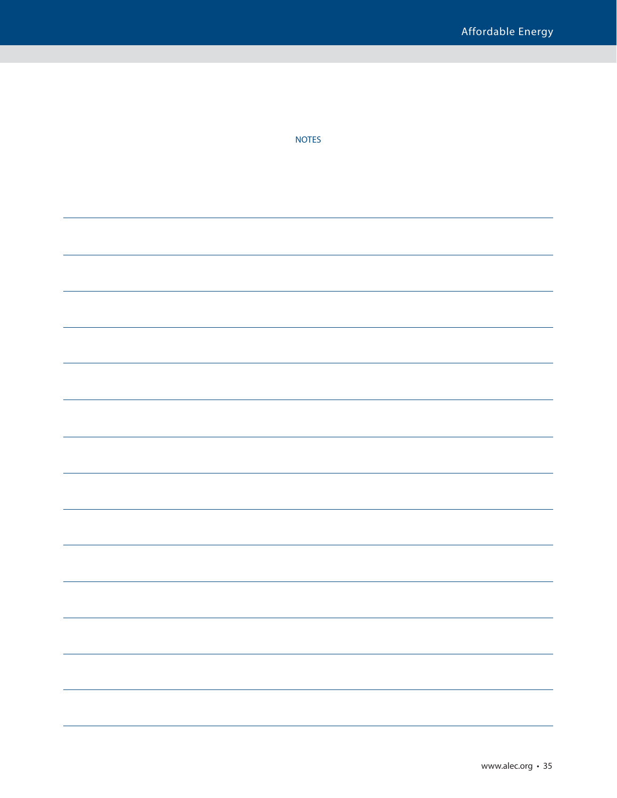| <b>NOTES</b> |
|--------------|
|              |
|              |
|              |
|              |
|              |
|              |
|              |